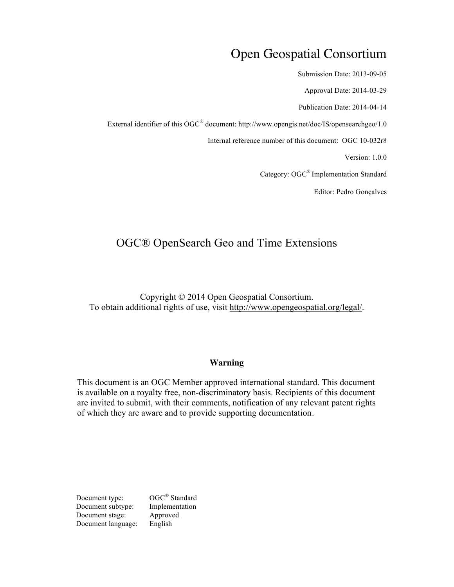# Open Geospatial Consortium

Submission Date: 2013-09-05

Approval Date: 2014-03-29

Publication Date: 2014-04-14

External identifier of this OGC® document: http://www.opengis.net/doc/IS/opensearchgeo/1.0

Internal reference number of this document: OGC 10-032r8

Version: 1.0.0

Category: OGC® Implementation Standard

Editor: Pedro Gonçalves

# OGC® OpenSearch Geo and Time Extensions

Copyright © 2014 Open Geospatial Consortium. To obtain additional rights of use, visit http://www.opengeospatial.org/legal/.

#### **Warning**

This document is an OGC Member approved international standard. This document is available on a royalty free, non-discriminatory basis. Recipients of this document are invited to submit, with their comments, notification of any relevant patent rights of which they are aware and to provide supporting documentation.

Document type:  $OGC^{\circledR}$  Standard Document subtype: Implementation Document stage: Approved<br>Document language: English Document language: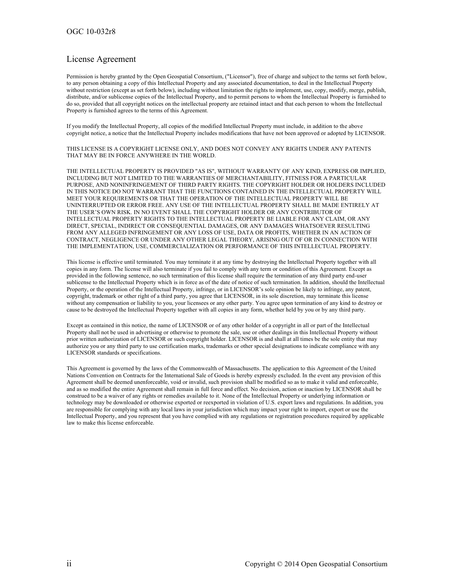#### License Agreement

Permission is hereby granted by the Open Geospatial Consortium, ("Licensor"), free of charge and subject to the terms set forth below, to any person obtaining a copy of this Intellectual Property and any associated documentation, to deal in the Intellectual Property without restriction (except as set forth below), including without limitation the rights to implement, use, copy, modify, merge, publish, distribute, and/or sublicense copies of the Intellectual Property, and to permit persons to whom the Intellectual Property is furnished to do so, provided that all copyright notices on the intellectual property are retained intact and that each person to whom the Intellectual Property is furnished agrees to the terms of this Agreement.

If you modify the Intellectual Property, all copies of the modified Intellectual Property must include, in addition to the above copyright notice, a notice that the Intellectual Property includes modifications that have not been approved or adopted by LICENSOR.

THIS LICENSE IS A COPYRIGHT LICENSE ONLY, AND DOES NOT CONVEY ANY RIGHTS UNDER ANY PATENTS THAT MAY BE IN FORCE ANYWHERE IN THE WORLD.

THE INTELLECTUAL PROPERTY IS PROVIDED "AS IS", WITHOUT WARRANTY OF ANY KIND, EXPRESS OR IMPLIED, INCLUDING BUT NOT LIMITED TO THE WARRANTIES OF MERCHANTABILITY, FITNESS FOR A PARTICULAR PURPOSE, AND NONINFRINGEMENT OF THIRD PARTY RIGHTS. THE COPYRIGHT HOLDER OR HOLDERS INCLUDED IN THIS NOTICE DO NOT WARRANT THAT THE FUNCTIONS CONTAINED IN THE INTELLECTUAL PROPERTY WILL MEET YOUR REQUIREMENTS OR THAT THE OPERATION OF THE INTELLECTUAL PROPERTY WILL BE UNINTERRUPTED OR ERROR FREE. ANY USE OF THE INTELLECTUAL PROPERTY SHALL BE MADE ENTIRELY AT THE USER'S OWN RISK. IN NO EVENT SHALL THE COPYRIGHT HOLDER OR ANY CONTRIBUTOR OF INTELLECTUAL PROPERTY RIGHTS TO THE INTELLECTUAL PROPERTY BE LIABLE FOR ANY CLAIM, OR ANY DIRECT, SPECIAL, INDIRECT OR CONSEQUENTIAL DAMAGES, OR ANY DAMAGES WHATSOEVER RESULTING FROM ANY ALLEGED INFRINGEMENT OR ANY LOSS OF USE, DATA OR PROFITS, WHETHER IN AN ACTION OF CONTRACT, NEGLIGENCE OR UNDER ANY OTHER LEGAL THEORY, ARISING OUT OF OR IN CONNECTION WITH THE IMPLEMENTATION, USE, COMMERCIALIZATION OR PERFORMANCE OF THIS INTELLECTUAL PROPERTY.

This license is effective until terminated. You may terminate it at any time by destroying the Intellectual Property together with all copies in any form. The license will also terminate if you fail to comply with any term or condition of this Agreement. Except as provided in the following sentence, no such termination of this license shall require the termination of any third party end-user sublicense to the Intellectual Property which is in force as of the date of notice of such termination. In addition, should the Intellectual Property, or the operation of the Intellectual Property, infringe, or in LICENSOR's sole opinion be likely to infringe, any patent, copyright, trademark or other right of a third party, you agree that LICENSOR, in its sole discretion, may terminate this license without any compensation or liability to you, your licensees or any other party. You agree upon termination of any kind to destroy or cause to be destroyed the Intellectual Property together with all copies in any form, whether held by you or by any third party.

Except as contained in this notice, the name of LICENSOR or of any other holder of a copyright in all or part of the Intellectual Property shall not be used in advertising or otherwise to promote the sale, use or other dealings in this Intellectual Property without prior written authorization of LICENSOR or such copyright holder. LICENSOR is and shall at all times be the sole entity that may authorize you or any third party to use certification marks, trademarks or other special designations to indicate compliance with any LICENSOR standards or specifications.

This Agreement is governed by the laws of the Commonwealth of Massachusetts. The application to this Agreement of the United Nations Convention on Contracts for the International Sale of Goods is hereby expressly excluded. In the event any provision of this Agreement shall be deemed unenforceable, void or invalid, such provision shall be modified so as to make it valid and enforceable, and as so modified the entire Agreement shall remain in full force and effect. No decision, action or inaction by LICENSOR shall be construed to be a waiver of any rights or remedies available to it. None of the Intellectual Property or underlying information or technology may be downloaded or otherwise exported or reexported in violation of U.S. export laws and regulations. In addition, you are responsible for complying with any local laws in your jurisdiction which may impact your right to import, export or use the Intellectual Property, and you represent that you have complied with any regulations or registration procedures required by applicable law to make this license enforceable.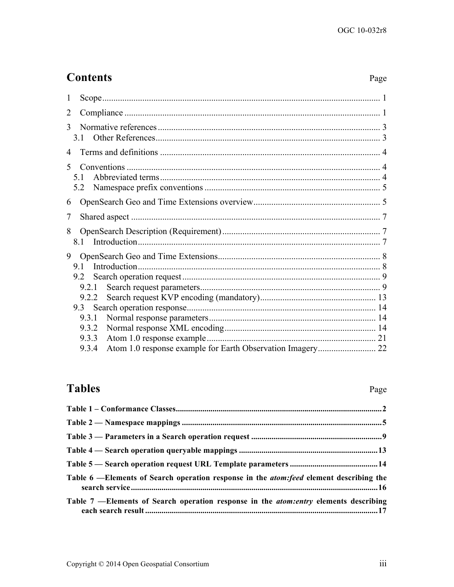# **Contents**

# Page

| 1              |                       |  |
|----------------|-----------------------|--|
| $\overline{2}$ |                       |  |
| 3              | 31                    |  |
| 4              |                       |  |
| $\mathcal{F}$  | 51<br>5.2             |  |
| 6              |                       |  |
| 7              |                       |  |
| 8              |                       |  |
| 9              | 91<br>9.2             |  |
|                | 9.2.1<br>9.2.2<br>9.3 |  |
|                | 9.3.1<br>9.3.2        |  |
|                | 9.3.3<br>9.3.4        |  |

# **Tables**

# Page

| Table 6 —Elements of Search operation response in the <i>atom: feed</i> element describing the |  |
|------------------------------------------------------------------------------------------------|--|
| Table 7 —Elements of Search operation response in the <i>atom:entry</i> elements describing    |  |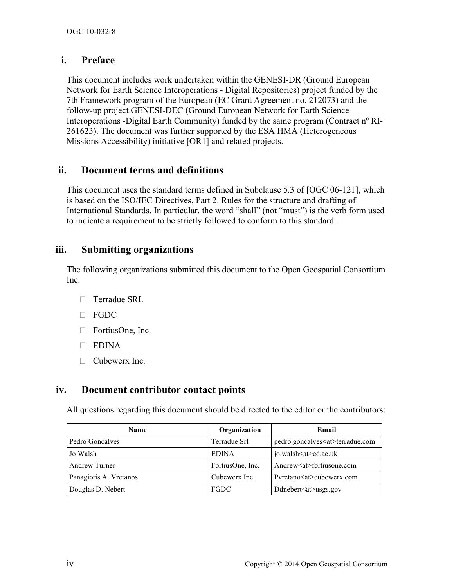# **i. Preface**

This document includes work undertaken within the GENESI-DR (Ground European Network for Earth Science Interoperations - Digital Repositories) project funded by the 7th Framework program of the European (EC Grant Agreement no. 212073) and the follow-up project GENESI-DEC (Ground European Network for Earth Science Interoperations -Digital Earth Community) funded by the same program (Contract nº RI-261623). The document was further supported by the ESA HMA (Heterogeneous Missions Accessibility) initiative [OR1] and related projects.

# **ii. Document terms and definitions**

This document uses the standard terms defined in Subclause 5.3 of [OGC 06-121], which is based on the ISO/IEC Directives, Part 2. Rules for the structure and drafting of International Standards. In particular, the word "shall" (not "must") is the verb form used to indicate a requirement to be strictly followed to conform to this standard.

# **iii. Submitting organizations**

The following organizations submitted this document to the Open Geospatial Consortium Inc.

- $\Box$  Terradue SRL
- $\Box$  FGDC
- □ FortiusOne, Inc.
- D EDINA
- □ Cubewerx Inc.

## **iv. Document contributor contact points**

All questions regarding this document should be directed to the editor or the contributors:

| <b>Name</b>            | Organization     | Email                                 |
|------------------------|------------------|---------------------------------------|
| Pedro Goncalves        | Terradue Srl     | pedro.goncalves <at>terradue.com</at> |
| Jo Walsh               | <b>EDINA</b>     | jo.walsh <at>ed.ac.uk</at>            |
| Andrew Turner          | FortiusOne, Inc. | Andrew <at>fortiusone.com</at>        |
| Panagiotis A. Vretanos | Cubewerx Inc.    | Pyretano <at>cubewerx.com</at>        |
| Douglas D. Nebert      | FGDC             | Ddnebert <at>usgs.gov</at>            |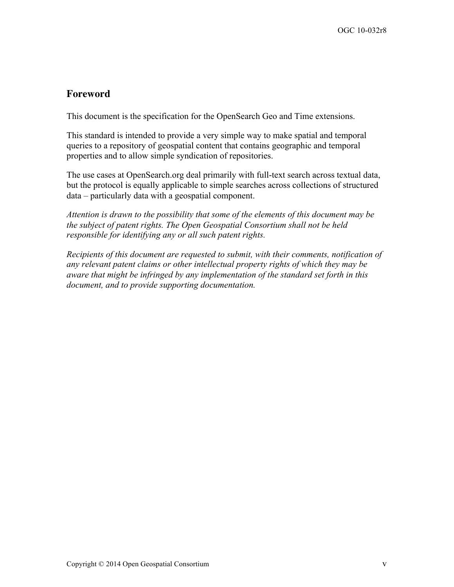## **Foreword**

This document is the specification for the OpenSearch Geo and Time extensions.

This standard is intended to provide a very simple way to make spatial and temporal queries to a repository of geospatial content that contains geographic and temporal properties and to allow simple syndication of repositories.

The use cases at OpenSearch.org deal primarily with full-text search across textual data, but the protocol is equally applicable to simple searches across collections of structured data – particularly data with a geospatial component.

*Attention is drawn to the possibility that some of the elements of this document may be the subject of patent rights. The Open Geospatial Consortium shall not be held responsible for identifying any or all such patent rights.*

*Recipients of this document are requested to submit, with their comments, notification of any relevant patent claims or other intellectual property rights of which they may be aware that might be infringed by any implementation of the standard set forth in this document, and to provide supporting documentation.*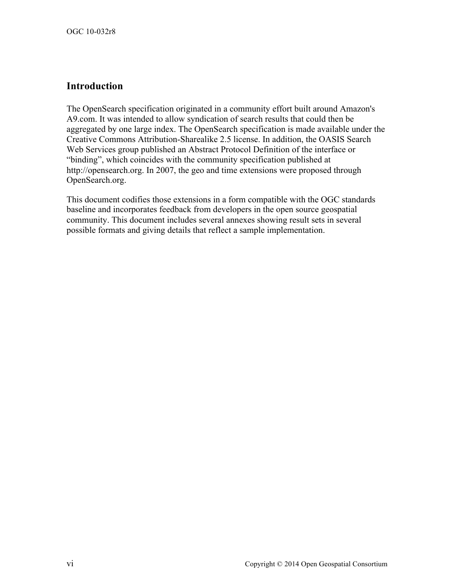# **Introduction**

The OpenSearch specification originated in a community effort built around Amazon's A9.com. It was intended to allow syndication of search results that could then be aggregated by one large index. The OpenSearch specification is made available under the Creative Commons Attribution-Sharealike 2.5 license. In addition, the OASIS Search Web Services group published an Abstract Protocol Definition of the interface or "binding", which coincides with the community specification published at http://opensearch.org. In 2007, the geo and time extensions were proposed through OpenSearch.org.

This document codifies those extensions in a form compatible with the OGC standards baseline and incorporates feedback from developers in the open source geospatial community. This document includes several annexes showing result sets in several possible formats and giving details that reflect a sample implementation.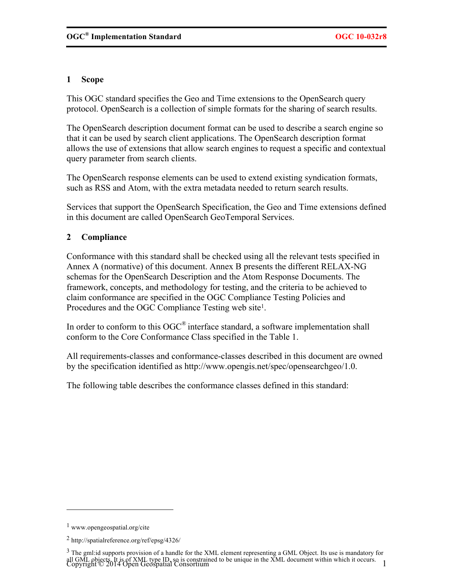## **1 Scope**

This OGC standard specifies the Geo and Time extensions to the OpenSearch query protocol. OpenSearch is a collection of simple formats for the sharing of search results.

The OpenSearch description document format can be used to describe a search engine so that it can be used by search client applications. The OpenSearch description format allows the use of extensions that allow search engines to request a specific and contextual query parameter from search clients.

The OpenSearch response elements can be used to extend existing syndication formats, such as RSS and Atom, with the extra metadata needed to return search results.

Services that support the OpenSearch Specification, the Geo and Time extensions defined in this document are called OpenSearch GeoTemporal Services.

## **2 Compliance**

Conformance with this standard shall be checked using all the relevant tests specified in Annex A (normative) of this document. Annex B presents the different RELAX-NG schemas for the OpenSearch Description and the Atom Response Documents. The framework, concepts, and methodology for testing, and the criteria to be achieved to claim conformance are specified in the OGC Compliance Testing Policies and Procedures and the OGC Compliance Testing web site1.

In order to conform to this OGC<sup>®</sup> interface standard, a software implementation shall conform to the Core Conformance Class specified in the Table 1.

All requirements-classes and conformance-classes described in this document are owned by the specification identified as http://www.opengis.net/spec/opensearchgeo/1.0.

The following table describes the conformance classes defined in this standard:

 $\overline{a}$ 

<sup>1</sup> www.opengeospatial.org/cite

<sup>2</sup> http://spatialreference.org/ref/epsg/4326/

all OML bujects it is of AML type ID, so is constrained to be unique in the AML document whilm which it occurs.<br>Copyright © 2014 Open Geospatial Consortium  $3$  The gml:id supports provision of a handle for the XML element representing a GML Object. Its use is mandatory for all GML objects. It is of XML type ID, so is constrained to be unique in the XML document within which it occurs.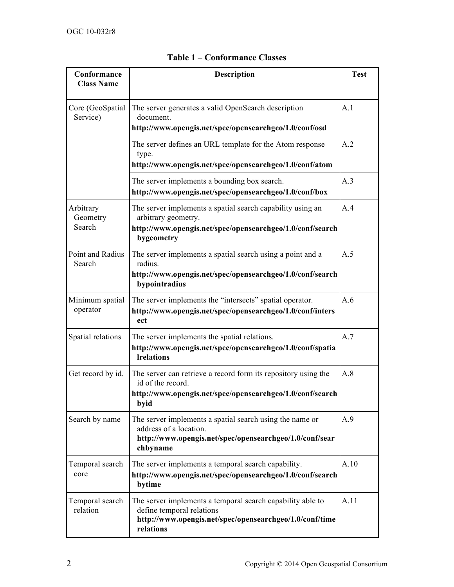| Conformance<br><b>Class Name</b>                                                                                                                                              | <b>Description</b>                                                                                                                                                  |      |  |
|-------------------------------------------------------------------------------------------------------------------------------------------------------------------------------|---------------------------------------------------------------------------------------------------------------------------------------------------------------------|------|--|
| Core (GeoSpatial<br>Service)                                                                                                                                                  | The server generates a valid OpenSearch description<br>document.<br>http://www.opengis.net/spec/opensearchgeo/1.0/conf/osd                                          | A.1  |  |
|                                                                                                                                                                               | The server defines an URL template for the Atom response<br>type.<br>http://www.opengis.net/spec/opensearchgeo/1.0/conf/atom                                        | A.2  |  |
|                                                                                                                                                                               | The server implements a bounding box search.<br>http://www.opengis.net/spec/opensearchgeo/1.0/conf/box                                                              | A.3  |  |
| Arbitrary<br>Geometry<br>Search                                                                                                                                               | The server implements a spatial search capability using an<br>A.4<br>arbitrary geometry.<br>http://www.opengis.net/spec/opensearchgeo/1.0/conf/search<br>bygeometry |      |  |
| Point and Radius<br>Search                                                                                                                                                    | The server implements a spatial search using a point and a<br>A.5<br>radius.<br>http://www.opengis.net/spec/opensearchgeo/1.0/conf/search<br>bypointradius          |      |  |
| Minimum spatial<br>operator                                                                                                                                                   | The server implements the "intersects" spatial operator.<br>A.6<br>http://www.opengis.net/spec/opensearchgeo/1.0/conf/inters<br>ect                                 |      |  |
| Spatial relations                                                                                                                                                             | The server implements the spatial relations.<br>http://www.opengis.net/spec/opensearchgeo/1.0/conf/spatia<br><b>Irelations</b>                                      | A.7  |  |
| Get record by id.<br>The server can retrieve a record form its repository using the<br>id of the record.<br>http://www.opengis.net/spec/opensearchgeo/1.0/conf/search<br>byid |                                                                                                                                                                     | A.8  |  |
| Search by name<br>The server implements a spatial search using the name or<br>address of a location.<br>http://www.opengis.net/spec/opensearchgeo/1.0/conf/sear<br>chbyname   |                                                                                                                                                                     | A.9  |  |
| Temporal search<br>core                                                                                                                                                       | A.10<br>The server implements a temporal search capability.<br>http://www.opengis.net/spec/opensearchgeo/1.0/conf/search<br>bytime                                  |      |  |
| Temporal search<br>relation                                                                                                                                                   | The server implements a temporal search capability able to<br>define temporal relations<br>http://www.opengis.net/spec/opensearchgeo/1.0/conf/time<br>relations     | A.11 |  |

# **Table 1 – Conformance Classes**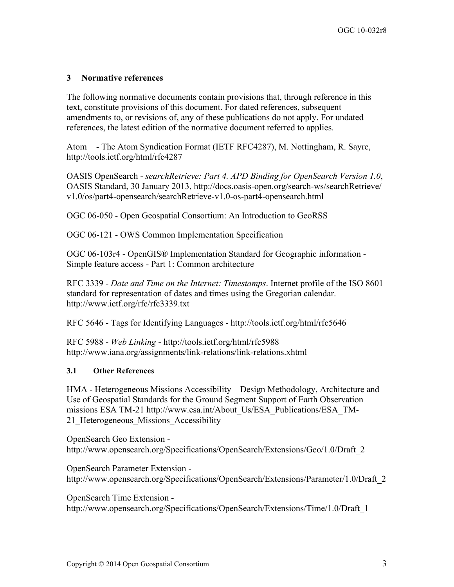## **3 Normative references**

The following normative documents contain provisions that, through reference in this text, constitute provisions of this document. For dated references, subsequent amendments to, or revisions of, any of these publications do not apply. For undated references, the latest edition of the normative document referred to applies.

Atom - The Atom Syndication Format (IETF RFC4287), M. Nottingham, R. Sayre, http://tools.ietf.org/html/rfc4287

OASIS OpenSearch - *searchRetrieve: Part 4. APD Binding for OpenSearch Version 1.0*, OASIS Standard, 30 January 2013, http://docs.oasis-open.org/search-ws/searchRetrieve/ v1.0/os/part4-opensearch/searchRetrieve-v1.0-os-part4-opensearch.html

OGC 06-050 - Open Geospatial Consortium: An Introduction to GeoRSS

OGC 06-121 - OWS Common Implementation Specification

OGC 06-103r4 - OpenGIS® Implementation Standard for Geographic information - Simple feature access - Part 1: Common architecture

RFC 3339 - *Date and Time on the Internet: Timestamps*. Internet profile of the ISO 8601 standard for representation of dates and times using the Gregorian calendar. http://www.ietf.org/rfc/rfc3339.txt

RFC 5646 - Tags for Identifying Languages - http://tools.ietf.org/html/rfc5646

RFC 5988 - *Web Linking* - http://tools.ietf.org/html/rfc5988 http://www.iana.org/assignments/link-relations/link-relations.xhtml

#### **3.1 Other References**

HMA - Heterogeneous Missions Accessibility – Design Methodology, Architecture and Use of Geospatial Standards for the Ground Segment Support of Earth Observation missions ESA TM-21 http://www.esa.int/About\_Us/ESA\_Publications/ESA\_TM-21 Heterogeneous Missions Accessibility

OpenSearch Geo Extension http://www.opensearch.org/Specifications/OpenSearch/Extensions/Geo/1.0/Draft\_2

OpenSearch Parameter Extension http://www.opensearch.org/Specifications/OpenSearch/Extensions/Parameter/1.0/Draft\_2

OpenSearch Time Extension http://www.opensearch.org/Specifications/OpenSearch/Extensions/Time/1.0/Draft\_1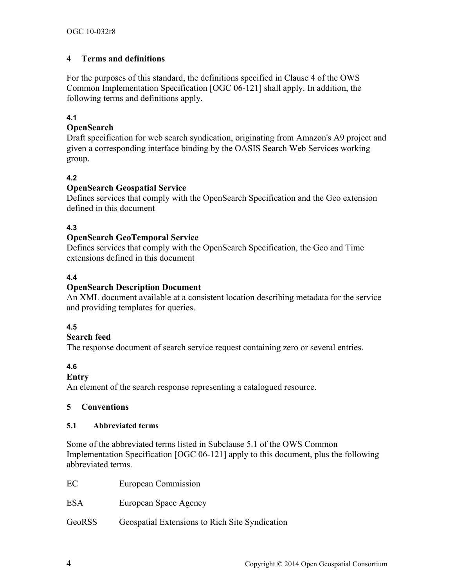## **4 Terms and definitions**

For the purposes of this standard, the definitions specified in Clause 4 of the OWS Common Implementation Specification [OGC 06-121] shall apply. In addition, the following terms and definitions apply.

#### **4.1**

#### **OpenSearch**

Draft specification for web search syndication, originating from Amazon's A9 project and given a corresponding interface binding by the OASIS Search Web Services working group.

#### **4.2**

#### **OpenSearch Geospatial Service**

Defines services that comply with the OpenSearch Specification and the Geo extension defined in this document

#### **4.3**

#### **OpenSearch GeoTemporal Service**

Defines services that comply with the OpenSearch Specification, the Geo and Time extensions defined in this document

#### **4.4**

#### **OpenSearch Description Document**

An XML document available at a consistent location describing metadata for the service and providing templates for queries.

#### **4.5**

## **Search feed**

The response document of search service request containing zero or several entries.

## **4.6**

#### **Entry**

An element of the search response representing a catalogued resource.

#### **5 Conventions**

#### **5.1 Abbreviated terms**

Some of the abbreviated terms listed in Subclause 5.1 of the OWS Common Implementation Specification [OGC 06-121] apply to this document, plus the following abbreviated terms.

EC European Commission

ESA European Space Agency

GeoRSS Geospatial Extensions to Rich Site Syndication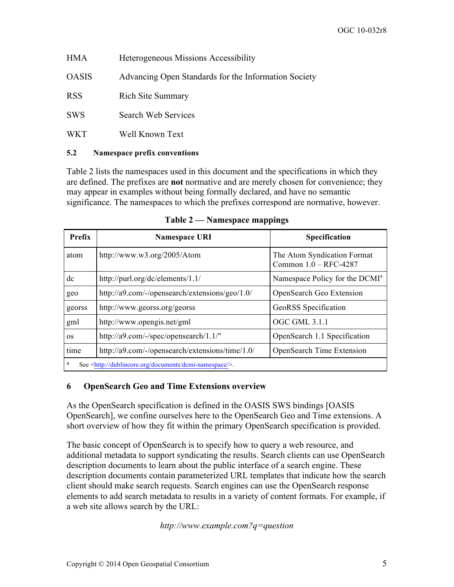| <b>HMA</b>   | <b>Heterogeneous Missions Accessibility</b>          |
|--------------|------------------------------------------------------|
| <b>OASIS</b> | Advancing Open Standards for the Information Society |
| <b>RSS</b>   | <b>Rich Site Summary</b>                             |
| <b>SWS</b>   | Search Web Services                                  |
| <b>WKT</b>   | Well Known Text                                      |

#### **5.2 Namespace prefix conventions**

Table 2 lists the namespaces used in this document and the specifications in which they are defined. The prefixes are **not** normative and are merely chosen for convenience; they may appear in examples without being formally declared, and have no semantic significance. The namespaces to which the prefixes correspond are normative, however.

| <b>Prefix</b>                                                               | <b>Namespace URI</b>                            | <b>Specification</b>                                 |  |
|-----------------------------------------------------------------------------|-------------------------------------------------|------------------------------------------------------|--|
| atom                                                                        | http://www.w3.org/2005/Atom                     | The Atom Syndication Format<br>Common 1.0 - RFC-4287 |  |
| dc<br>http://purl.org/dc/elements/1.1/                                      |                                                 | Namespace Policy for the DCMI <sup>a</sup>           |  |
| geo                                                                         | http://a9.com/-/opensearch/extensions/geo/1.0/  | <b>OpenSearch Geo Extension</b>                      |  |
| georss                                                                      | http://www.georss.org/georss                    | GeoRSS Specification                                 |  |
| gml                                                                         | http://www.opengis.net/gml                      | OGC GML 3.1.1                                        |  |
| OS                                                                          | http://a9.com/-/spec/opensearch/1.1/"           | OpenSearch 1.1 Specification                         |  |
| time                                                                        | http://a9.com/-/opensearch/extensions/time/1.0/ | <b>OpenSearch Time Extension</b>                     |  |
| a<br>See <http: dcmi-namespace="" documents="" dublincore.org=""></http:> . |                                                 |                                                      |  |

**Table 2 — Namespace mappings**

#### **6 OpenSearch Geo and Time Extensions overview**

As the OpenSearch specification is defined in the OASIS SWS bindings [OASIS OpenSearch], we confine ourselves here to the OpenSearch Geo and Time extensions. A short overview of how they fit within the primary OpenSearch specification is provided.

The basic concept of OpenSearch is to specify how to query a web resource, and additional metadata to support syndicating the results. Search clients can use OpenSearch description documents to learn about the public interface of a search engine. These description documents contain parameterized URL templates that indicate how the search client should make search requests. Search engines can use the OpenSearch response elements to add search metadata to results in a variety of content formats. For example, if a web site allows search by the URL:

*http://www.example.com?q=question*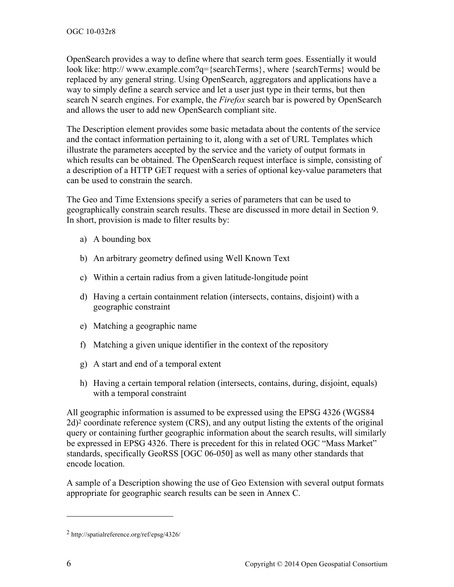OpenSearch provides a way to define where that search term goes. Essentially it would look like: http:// www.example.com?q={searchTerms}, where {searchTerms} would be replaced by any general string. Using OpenSearch, aggregators and applications have a way to simply define a search service and let a user just type in their terms, but then search N search engines. For example, the *Firefox* search bar is powered by OpenSearch and allows the user to add new OpenSearch compliant site.

The Description element provides some basic metadata about the contents of the service and the contact information pertaining to it, along with a set of URL Templates which illustrate the parameters accepted by the service and the variety of output formats in which results can be obtained. The OpenSearch request interface is simple, consisting of a description of a HTTP GET request with a series of optional key-value parameters that can be used to constrain the search.

The Geo and Time Extensions specify a series of parameters that can be used to geographically constrain search results. These are discussed in more detail in Section 9. In short, provision is made to filter results by:

- a) A bounding box
- b) An arbitrary geometry defined using Well Known Text
- c) Within a certain radius from a given latitude-longitude point
- d) Having a certain containment relation (intersects, contains, disjoint) with a geographic constraint
- e) Matching a geographic name
- f) Matching a given unique identifier in the context of the repository
- g) A start and end of a temporal extent
- h) Having a certain temporal relation (intersects, contains, during, disjoint, equals) with a temporal constraint

All geographic information is assumed to be expressed using the EPSG 4326 (WGS84 2d)2 coordinate reference system (CRS), and any output listing the extents of the original query or containing further geographic information about the search results, will similarly be expressed in EPSG 4326. There is precedent for this in related OGC "Mass Market" standards, specifically GeoRSS [OGC 06-050] as well as many other standards that encode location.

A sample of a Description showing the use of Geo Extension with several output formats appropriate for geographic search results can be seen in Annex C.

 $\overline{a}$ 

<sup>2</sup> http://spatialreference.org/ref/epsg/4326/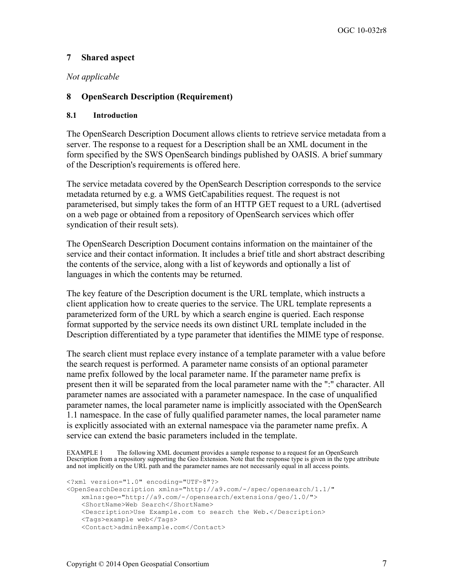## **7 Shared aspect**

#### *Not applicable*

#### **8 OpenSearch Description (Requirement)**

#### **8.1 Introduction**

The OpenSearch Description Document allows clients to retrieve service metadata from a server. The response to a request for a Description shall be an XML document in the form specified by the SWS OpenSearch bindings published by OASIS. A brief summary of the Description's requirements is offered here.

The service metadata covered by the OpenSearch Description corresponds to the service metadata returned by e.g. a WMS GetCapabilities request. The request is not parameterised, but simply takes the form of an HTTP GET request to a URL (advertised on a web page or obtained from a repository of OpenSearch services which offer syndication of their result sets).

The OpenSearch Description Document contains information on the maintainer of the service and their contact information. It includes a brief title and short abstract describing the contents of the service, along with a list of keywords and optionally a list of languages in which the contents may be returned.

The key feature of the Description document is the URL template, which instructs a client application how to create queries to the service. The URL template represents a parameterized form of the URL by which a search engine is queried. Each response format supported by the service needs its own distinct URL template included in the Description differentiated by a type parameter that identifies the MIME type of response.

The search client must replace every instance of a template parameter with a value before the search request is performed. A parameter name consists of an optional parameter name prefix followed by the local parameter name. If the parameter name prefix is present then it will be separated from the local parameter name with the ":" character. All parameter names are associated with a parameter namespace. In the case of unqualified parameter names, the local parameter name is implicitly associated with the OpenSearch 1.1 namespace. In the case of fully qualified parameter names, the local parameter name is explicitly associated with an external namespace via the parameter name prefix. A service can extend the basic parameters included in the template.

EXAMPLE 1 The following XML document provides a sample response to a request for an OpenSearch Description from a repository supporting the Geo Extension. Note that the response type is given in the type attribute and not implicitly on the URL path and the parameter names are not necessarily equal in all access points.

```
<?xml version="1.0" encoding="UTF-8"?>
<OpenSearchDescription xmlns="http://a9.com/-/spec/opensearch/1.1/"
   xmlns:geo="http://a9.com/-/opensearch/extensions/geo/1.0/">
   <ShortName>Web Search</ShortName>
   <Description>Use Example.com to search the Web.</Description>
   <Tags>example web</Tags>
   <Contact>admin@example.com</Contact>
```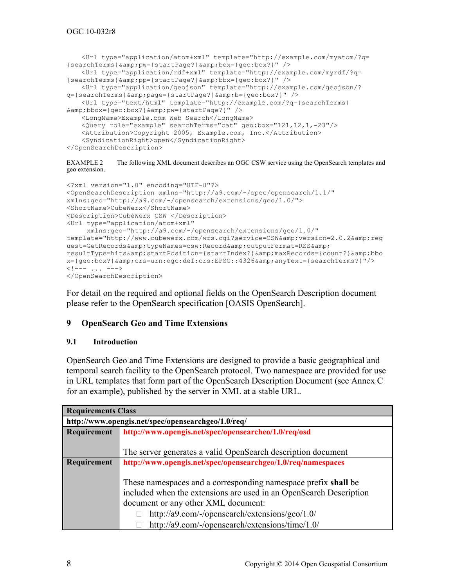```
<Url type="application/atom+xml" template="http://example.com/myatom/?q=
\{searchTerms\} \{amp; p \neq \{startPage?\} \{amp; p \neq \{q \neq 0: box?\}" />
   <Url type="application/rdf+xml" template="http://example.com/myrdf/?q=
{searchTerms}&pp={startPage?}&bbx={geo:box?}" />
   <Url type="application/geojson" template="http://example.com/geojson/?
q={searchTerms}&page={startPage?}&b={geo:box?}" />
   <Url type="text/html" template="http://example.com/?q={searchTerms}
&bbox={geo:box?}&pw={startPage?}" />
   <LongName>Example.com Web Search</LongName>
   <Query role="example" searchTerms="cat" geo:box="121,12,1,-23"/>
   <Attribution>Copyright 2005, Example.com, Inc.</Attribution>
   <SyndicationRight>open</SyndicationRight>
</OpenSearchDescription>
```
EXAMPLE 2 The following XML document describes an OGC CSW service using the OpenSearch templates and geo extension.

```
<?xml version="1.0" encoding="UTF-8"?> 
<OpenSearchDescription xmlns="http://a9.com/-/spec/opensearch/1.1/" 
xmlns:geo="http://a9.com/-/opensearch/extensions/geo/1.0/"> 
<ShortName>CubeWerx</ShortName> 
<Description>CubeWerx CSW </Description> 
<Url type="application/atom+xml"
      xmlns:geo="http://a9.com/-/opensearch/extensions/geo/1.0/"
template="http://www.cubewerx.com/wrs.cqi?service=CSW&version=2.0.2&req
uest=GetRecords& typeNames=csw:Record& outputFormat=RSS&
resultType=hits&startPosition={startIndex?}&maxRecords={count?}&bbo
x={geo:box?}&crs=urn:ogc:def:crs:EPSG::4326&anyText={searchTerms?}"/>
\langle!--- ... --->
</OpenSearchDescription>
```
For detail on the required and optional fields on the OpenSearch Description document please refer to the OpenSearch specification [OASIS OpenSearch].

## **9 OpenSearch Geo and Time Extensions**

#### **9.1 Introduction**

OpenSearch Geo and Time Extensions are designed to provide a basic geographical and temporal search facility to the OpenSearch protocol. Two namespace are provided for use in URL templates that form part of the OpenSearch Description Document (see Annex C for an example), published by the server in XML at a stable URL.

| <b>Requirements Class</b> |                                                                    |  |  |  |
|---------------------------|--------------------------------------------------------------------|--|--|--|
|                           | http://www.opengis.net/spec/opensearchgeo/1.0/req/                 |  |  |  |
| Requirement               | http://www.opengis.net/spec/opensearcheo/1.0/req/osd               |  |  |  |
|                           |                                                                    |  |  |  |
|                           | The server generates a valid OpenSearch description document       |  |  |  |
| Requirement               | http://www.opengis.net/spec/opensearchgeo/1.0/req/namespaces       |  |  |  |
|                           |                                                                    |  |  |  |
|                           | These namespaces and a corresponding namespace prefix shall be     |  |  |  |
|                           | included when the extensions are used in an OpenSearch Description |  |  |  |
|                           | document or any other XML document:                                |  |  |  |
|                           | http://a9.com/-/opensearch/extensions/geo/1.0/                     |  |  |  |
|                           | http://a9.com/-/opensearch/extensions/time/1.0/                    |  |  |  |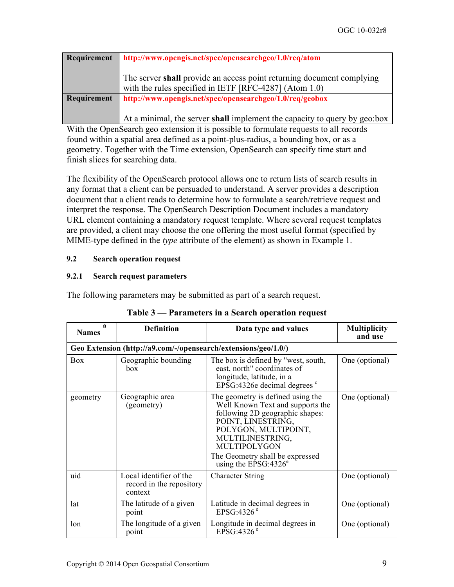| Requirement | http://www.opengis.net/spec/opensearchgeo/1.0/req/atom                                                                             |
|-------------|------------------------------------------------------------------------------------------------------------------------------------|
|             | The server shall provide an access point returning document complying<br>with the rules specified in IETF [RFC-4287] (Atom $1.0$ ) |
| Requirement | http://www.opengis.net/spec/opensearchgeo/1.0/req/geobox                                                                           |
|             | At a minimal, the server shall implement the capacity to query by geo:box                                                          |

With the OpenSearch geo extension it is possible to formulate requests to all records found within a spatial area defined as a point-plus-radius, a bounding box, or as a geometry. Together with the Time extension, OpenSearch can specify time start and

finish slices for searching data.

The flexibility of the OpenSearch protocol allows one to return lists of search results in any format that a client can be persuaded to understand. A server provides a description document that a client reads to determine how to formulate a search/retrieve request and interpret the response. The OpenSearch Description Document includes a mandatory URL element containing a mandatory request template. Where several request templates are provided, a client may choose the one offering the most useful format (specified by MIME-type defined in the *type* attribute of the element) as shown in Example 1.

## **9.2 Search operation request**

## **9.2.1 Search request parameters**

The following parameters may be submitted as part of a search request.

| а<br><b>Names</b> | <b>Definition</b>                                              | Data type and values                                                                                                                                                                                                                                     | <b>Multiplicity</b><br>and use |  |  |
|-------------------|----------------------------------------------------------------|----------------------------------------------------------------------------------------------------------------------------------------------------------------------------------------------------------------------------------------------------------|--------------------------------|--|--|
|                   | Geo Extension (http://a9.com/-/opensearch/extensions/geo/1.0/) |                                                                                                                                                                                                                                                          |                                |  |  |
| <b>Box</b>        | Geographic bounding<br>box                                     | The box is defined by "west, south,<br>east, north" coordinates of<br>longitude, latitude, in a<br>EPSG:4326e decimal degrees $\degree$                                                                                                                  | One (optional)                 |  |  |
| geometry          | Geographic area<br>(geometry)                                  | The geometry is defined using the<br>Well Known Text and supports the<br>following 2D geographic shapes:<br>POINT, LINESTRING,<br>POLYGON, MULTIPOINT,<br>MULTILINESTRING,<br>MULTIPOLYGON<br>The Geometry shall be expressed<br>using the $EPSG:4326^e$ | One (optional)                 |  |  |
| uid               | Local identifier of the<br>record in the repository<br>context | <b>Character String</b>                                                                                                                                                                                                                                  | One (optional)                 |  |  |
| lat               | The latitude of a given<br>point                               | Latitude in decimal degrees in<br>EPSG:4326 $e$                                                                                                                                                                                                          | One (optional)                 |  |  |
| lon               | The longitude of a given<br>point                              | Longitude in decimal degrees in<br>EPSG:4326 $e$                                                                                                                                                                                                         | One (optional)                 |  |  |

## **Table 3 — Parameters in a Search operation request**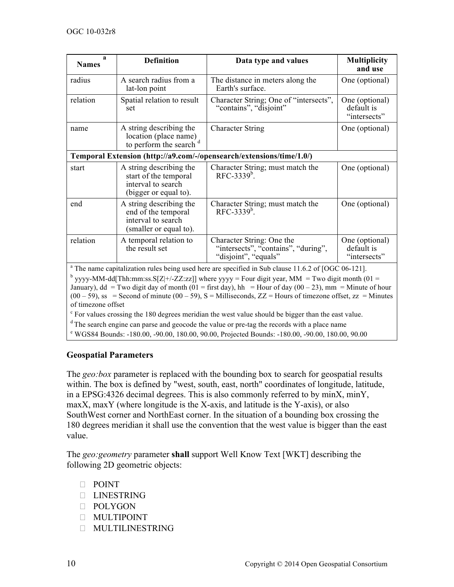| a<br><b>Names</b>                                                                                                                                                                                                                                                                                                                                                                                                                                                    | <b>Definition</b>                                                                               | Data type and values                                                                     | <b>Multiplicity</b><br>and use               |
|----------------------------------------------------------------------------------------------------------------------------------------------------------------------------------------------------------------------------------------------------------------------------------------------------------------------------------------------------------------------------------------------------------------------------------------------------------------------|-------------------------------------------------------------------------------------------------|------------------------------------------------------------------------------------------|----------------------------------------------|
| radius                                                                                                                                                                                                                                                                                                                                                                                                                                                               | A search radius from a<br>lat-lon point                                                         | The distance in meters along the<br>Earth's surface.                                     | One (optional)                               |
| relation                                                                                                                                                                                                                                                                                                                                                                                                                                                             | Spatial relation to result<br>set                                                               | Character String; One of "intersects",<br>"contains", "disjoint"                         | One (optional)<br>default is<br>"intersects" |
| name                                                                                                                                                                                                                                                                                                                                                                                                                                                                 | A string describing the<br>location (place name)<br>to perform the search d                     | <b>Character String</b>                                                                  | One (optional)                               |
|                                                                                                                                                                                                                                                                                                                                                                                                                                                                      |                                                                                                 | Temporal Extension (http://a9.com/-/opensearch/extensions/time/1.0/)                     |                                              |
| start                                                                                                                                                                                                                                                                                                                                                                                                                                                                | A string describing the<br>start of the temporal<br>interval to search<br>(bigger or equal to). | Character String; must match the<br>RFC-3339 <sup>b</sup> .                              | One (optional)                               |
| end                                                                                                                                                                                                                                                                                                                                                                                                                                                                  | A string describing the<br>end of the temporal<br>interval to search<br>(smaller or equal to).  | Character String; must match the<br>$RFC-3339^b$                                         | One (optional)                               |
| relation                                                                                                                                                                                                                                                                                                                                                                                                                                                             | A temporal relation to<br>the result set                                                        | Character String: One the<br>"intersects", "contains", "during",<br>"disjoint", "equals" | One (optional)<br>default is<br>"intersects" |
| <sup>a</sup> The name capitalization rules being used here are specified in Sub clause 11.6.2 of [OGC 06-121].<br>$\mu$ yyyy-MM-dd[Thh:mm:ss.S[Z +/-ZZ:zz]] where yyyy = Four digit year, MM = Two digit month (01 =<br>January), dd = Two digit day of month (01 = first day), hh = Hour of day (00 - 23), mm = Minute of hour<br>$(00-59)$ , ss = Second of minute $(00-59)$ , S = Milliseconds, ZZ = Hours of timezone offset, zz = Minutes<br>of timezone offset |                                                                                                 |                                                                                          |                                              |

 $\degree$  For values crossing the 180 degrees meridian the west value should be bigger than the east value.

<sup>d</sup> The search engine can parse and geocode the value or pre-tag the records with a place name

<sup>e</sup> WGS84 Bounds: -180.00, -90.00, 180.00, 90.00, Projected Bounds: -180.00, -90.00, 180.00, 90.00

## **Geospatial Parameters**

The *geo:box* parameter is replaced with the bounding box to search for geospatial results within. The box is defined by "west, south, east, north" coordinates of longitude, latitude, in a EPSG:4326 decimal degrees. This is also commonly referred to by minX, minY, maxX, maxY (where longitude is the X-axis, and latitude is the Y-axis), or also SouthWest corner and NorthEast corner. In the situation of a bounding box crossing the 180 degrees meridian it shall use the convention that the west value is bigger than the east value.

The *geo:geometry* parameter **shall** support Well Know Text [WKT] describing the following 2D geometric objects:

- D POINT
- LINESTRING
- POLYGON
- MULTIPOINT
- MULTILINESTRING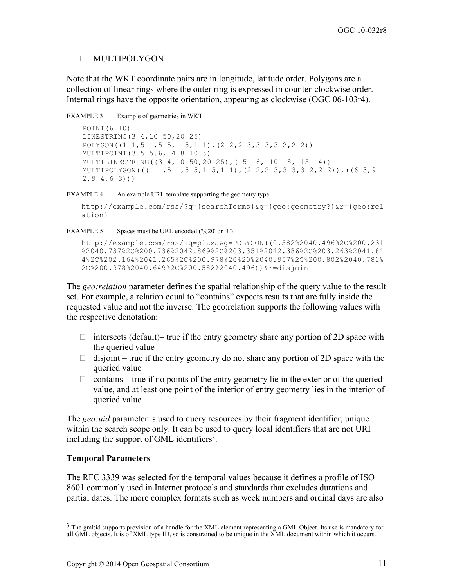#### MULTIPOLYGON

Note that the WKT coordinate pairs are in longitude, latitude order. Polygons are a collection of linear rings where the outer ring is expressed in counter-clockwise order. Internal rings have the opposite orientation, appearing as clockwise (OGC 06-103r4).

EXAMPLE 3 Example of geometries in WKT

POINT(6 10) LINESTRING(3 4,10 50,20 25) POLYGON((1 1,5 1,5 5,1 5,1 1),(2 2,2 3,3 3,3 2,2 2)) MULTIPOINT(3.5 5.6, 4.8 10.5) MULTILINESTRING((3 4,10 50,20 25),(-5 -8,-10 -8,-15 -4)) MULTIPOLYGON(((1 1,5 1,5 5,1 5,1 1),(2 2,2 3,3 3,3 2,2 2)),((6 3,9 2,9 4,6 3)))

EXAMPLE 4 An example URL template supporting the geometry type

```
http://example.com/rss/?q={searchTerms}&g={geo:geometry?}&r={geo:rel
ation}
```
EXAMPLE 5 Spaces must be URL encoded ('%20' or '+')

```
http://example.com/rss/?q=pizza&g=POLYGON((0.582%2040.496%2C%200.231
%2040.737%2C%200.736%2042.869%2C%203.351%2042.386%2C%203.263%2041.81
4%2C%202.164%2041.265%2C%200.978%20%20%2040.957%2C%200.802%2040.781%
2C%200.978%2040.649%2C%200.582%2040.496))&r=disjoint
```
The *geo:relation* parameter defines the spatial relationship of the query value to the result set. For example, a relation equal to "contains" expects results that are fully inside the requested value and not the inverse. The geo:relation supports the following values with the respective denotation:

- $\Box$  intersects (default)– true if the entry geometry share any portion of 2D space with the queried value
- $\Box$  disjoint true if the entry geometry do not share any portion of 2D space with the queried value
- $\Box$  contains true if no points of the entry geometry lie in the exterior of the queried value, and at least one point of the interior of entry geometry lies in the interior of queried value

The *geo:uid* parameter is used to query resources by their fragment identifier, unique within the search scope only. It can be used to query local identifiers that are not URI including the support of GML identifiers<sup>3</sup>.

## **Temporal Parameters**

 $\overline{a}$ 

The RFC 3339 was selected for the temporal values because it defines a profile of ISO 8601 commonly used in Internet protocols and standards that excludes durations and partial dates. The more complex formats such as week numbers and ordinal days are also

<sup>&</sup>lt;sup>3</sup> The gml:id supports provision of a handle for the XML element representing a GML Object. Its use is mandatory for all GML objects. It is of XML type ID, so is constrained to be unique in the XML document within which it occurs.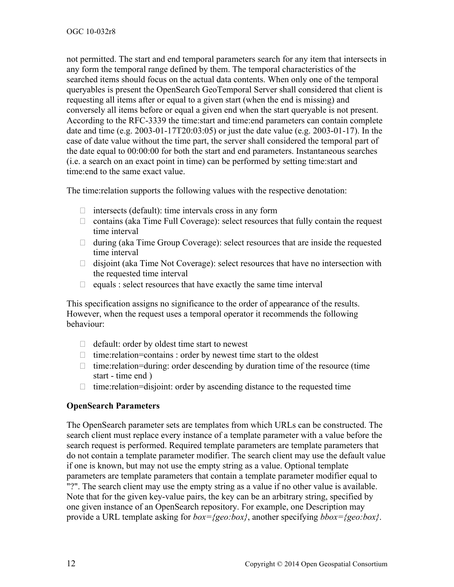not permitted. The start and end temporal parameters search for any item that intersects in any form the temporal range defined by them. The temporal characteristics of the searched items should focus on the actual data contents. When only one of the temporal queryables is present the OpenSearch GeoTemporal Server shall considered that client is requesting all items after or equal to a given start (when the end is missing) and conversely all items before or equal a given end when the start queryable is not present. According to the RFC-3339 the time:start and time:end parameters can contain complete date and time (e.g. 2003-01-17T20:03:05) or just the date value (e.g. 2003-01-17). In the case of date value without the time part, the server shall considered the temporal part of the date equal to 00:00:00 for both the start and end parameters. Instantaneous searches (i.e. a search on an exact point in time) can be performed by setting time:start and time:end to the same exact value.

The time:relation supports the following values with the respective denotation:

- $\Box$  intersects (default): time intervals cross in any form
- $\Box$  contains (aka Time Full Coverage): select resources that fully contain the request time interval
- $\Box$  during (aka Time Group Coverage): select resources that are inside the requested time interval
- $\Box$  disjoint (aka Time Not Coverage): select resources that have no intersection with the requested time interval
- $\Box$  equals : select resources that have exactly the same time interval

This specification assigns no significance to the order of appearance of the results. However, when the request uses a temporal operator it recommends the following behaviour:

- $\Box$  default: order by oldest time start to newest
- $\Box$  time: relation=contains : order by newest time start to the oldest
- $\Box$  time: relation=during: order descending by duration time of the resource (time start - time end )
- $\Box$  time: relation=disjoint: order by ascending distance to the requested time

## **OpenSearch Parameters**

The OpenSearch parameter sets are templates from which URLs can be constructed. The search client must replace every instance of a template parameter with a value before the search request is performed. Required template parameters are template parameters that do not contain a template parameter modifier. The search client may use the default value if one is known, but may not use the empty string as a value. Optional template parameters are template parameters that contain a template parameter modifier equal to "?". The search client may use the empty string as a value if no other value is available. Note that for the given key-value pairs, the key can be an arbitrary string, specified by one given instance of an OpenSearch repository. For example, one Description may provide a URL template asking for *box={geo:box}*, another specifying *bbox={geo:box}*.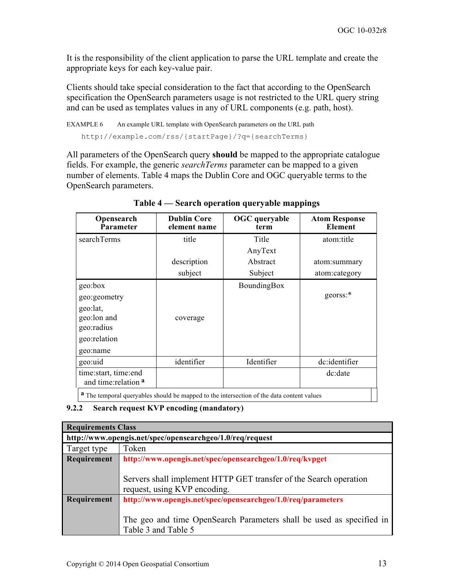It is the responsibility of the client application to parse the URL template and create the appropriate keys for each key-value pair.

Clients should take special consideration to the fact that according to the OpenSearch specification the OpenSearch parameters usage is not restricted to the URL query string and can be used as templates values in any of URL components (e.g. path, host).

```
EXAMPLE 6 An example URL template with OpenSearch parameters on the URL path
   http://example.com/rss/{startPage}/?q={searchTerms}
```
All parameters of the OpenSearch query **should** be mapped to the appropriate catalogue fields. For example, the generic *searchTerms* parameter can be mapped to a given number of elements. Table 4 maps the Dublin Core and OGC queryable terms to the OpenSearch parameters.

| Opensearch<br>Parameter                                                                          | <b>Dublin Core</b><br>element name | <b>OGC</b> queryable<br>term | <b>Atom Response</b><br><b>Element</b> |
|--------------------------------------------------------------------------------------------------|------------------------------------|------------------------------|----------------------------------------|
| searchTerms                                                                                      | title                              | Title                        | atom:title                             |
|                                                                                                  |                                    | AnyText                      |                                        |
|                                                                                                  | description                        | Abstract                     | atom:summary                           |
|                                                                                                  | subject                            | Subject                      | atom:category                          |
| geo:box                                                                                          |                                    | BoundingBox                  |                                        |
| geo:geometry                                                                                     |                                    |                              | georss:*                               |
| geo:lat,                                                                                         |                                    |                              |                                        |
| geo:lon and                                                                                      | coverage                           |                              |                                        |
| geo:radius                                                                                       |                                    |                              |                                        |
| geo:relation                                                                                     |                                    |                              |                                        |
| geo:name                                                                                         |                                    |                              |                                        |
| geo:uid                                                                                          | identifier                         | Identifier                   | dc:identifier                          |
| time:start, time:end<br>and time: relation a                                                     |                                    |                              | dc:date                                |
| <b>a</b> The temporal queryables should be mapped to the intersection of the data content values |                                    |                              |                                        |

**Table 4 — Search operation queryable mappings** 

## **9.2.2 Search request KVP encoding (mandatory)**

| <b>Requirements Class</b>                                                   |                                                                      |  |  |
|-----------------------------------------------------------------------------|----------------------------------------------------------------------|--|--|
| http://www.opengis.net/spec/opensearchgeo/1.0/req/request                   |                                                                      |  |  |
| Target type                                                                 | Token                                                                |  |  |
| Requirement                                                                 | http://www.opengis.net/spec/opensearchgeo/1.0/req/kvpget             |  |  |
|                                                                             |                                                                      |  |  |
| Servers shall implement HTTP GET transfer of the Search operation           |                                                                      |  |  |
|                                                                             | request, using KVP encoding.                                         |  |  |
| http://www.opengis.net/spec/opensearchgeo/1.0/req/parameters<br>Requirement |                                                                      |  |  |
|                                                                             |                                                                      |  |  |
|                                                                             | The geo and time OpenSearch Parameters shall be used as specified in |  |  |
|                                                                             | Table 3 and Table 5                                                  |  |  |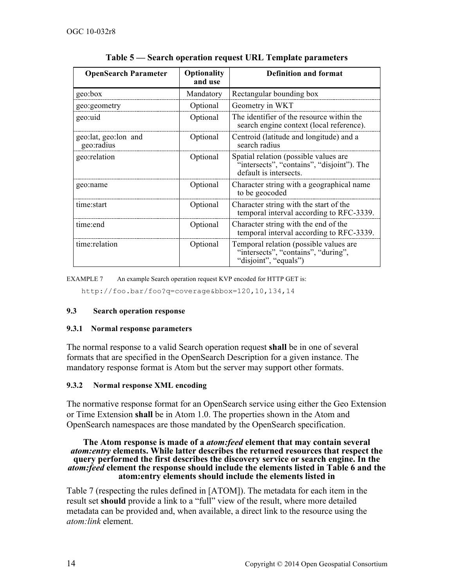| <b>OpenSearch Parameter</b>        | Optionality<br>and use | <b>Definition and format</b>                                                                                  |
|------------------------------------|------------------------|---------------------------------------------------------------------------------------------------------------|
| geo:box                            | Mandatory              | Rectangular bounding box                                                                                      |
| geo:geometry                       | Optional               | Geometry in WKT                                                                                               |
| geo:uid                            | Optional               | The identifier of the resource within the<br>search engine context (local reference).                         |
| geo:lat, geo:lon and<br>geo:radius | Optional               | Centroid (latitude and longitude) and a<br>search radius                                                      |
| geo:relation                       | Optional               | Spatial relation (possible values are<br>"intersects", "contains", "disjoint"). The<br>default is intersects. |
| geo:name                           | Optional               | Character string with a geographical name<br>to be geocoded                                                   |
| time:start                         | Optional               | Character string with the start of the<br>temporal interval according to RFC-3339.                            |
| time:end                           | Optional               | Character string with the end of the<br>temporal interval according to RFC-3339.                              |
| time:relation                      | Optional               | Temporal relation (possible values are<br>"intersects", "contains", "during",<br>"disjoint", "equals")        |

**Table 5 — Search operation request URL Template parameters**

EXAMPLE 7 An example Search operation request KVP encoded for HTTP GET is:

http://foo.bar/foo?q=coverage&bbox=120,10,134,14

#### **9.3 Search operation response**

#### **9.3.1 Normal response parameters**

The normal response to a valid Search operation request **shall** be in one of several formats that are specified in the OpenSearch Description for a given instance. The mandatory response format is Atom but the server may support other formats.

#### **9.3.2 Normal response XML encoding**

The normative response format for an OpenSearch service using either the Geo Extension or Time Extension **shall** be in Atom 1.0. The properties shown in the Atom and OpenSearch namespaces are those mandated by the OpenSearch specification.

#### **The Atom response is made of a** *atom:feed* **element that may contain several**  *atom:entry* **elements. While latter describes the returned resources that respect the query performed the first describes the discovery service or search engine. In the**  *atom:feed* **element the response should include the elements listed in Table 6 and the atom:entry elements should include the elements listed in**

Table 7 (respecting the rules defined in [ATOM]). The metadata for each item in the result set **should** provide a link to a "full" view of the result, where more detailed metadata can be provided and, when available, a direct link to the resource using the *atom:link* element.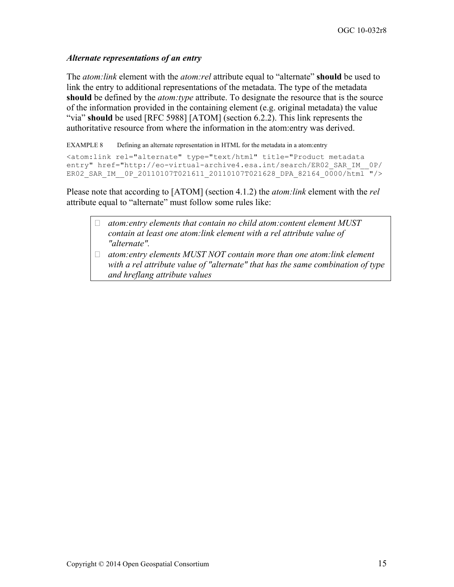#### *Alternate representations of an entry*

The *atom:link* element with the *atom:rel* attribute equal to "alternate" **should** be used to link the entry to additional representations of the metadata. The type of the metadata **should** be defined by the *atom:type* attribute. To designate the resource that is the source of the information provided in the containing element (e.g. original metadata) the value "via" **should** be used [RFC 5988] [ATOM] (section 6.2.2). This link represents the authoritative resource from where the information in the atom:entry was derived.

EXAMPLE 8 Defining an alternate representation in HTML for the metadata in a atom:entry

```
<atom:link rel="alternate" type="text/html" title="Product metadata 
entry" href="http://eo-virtual-archive4.esa.int/search/ER02 SAR_IM_0P/
ER02 SAR_IM_0P_20110107T021611_20110107T021628_DPA_82164_0000/html "/>
```
Please note that according to [ATOM] (section 4.1.2) the *atom:link* element with the *rel* attribute equal to "alternate" must follow some rules like:

- *atom:entry elements that contain no child atom:content element MUST contain at least one atom:link element with a rel attribute value of "alternate".*
- *atom:entry elements MUST NOT contain more than one atom:link element with a rel attribute value of "alternate" that has the same combination of type and hreflang attribute values*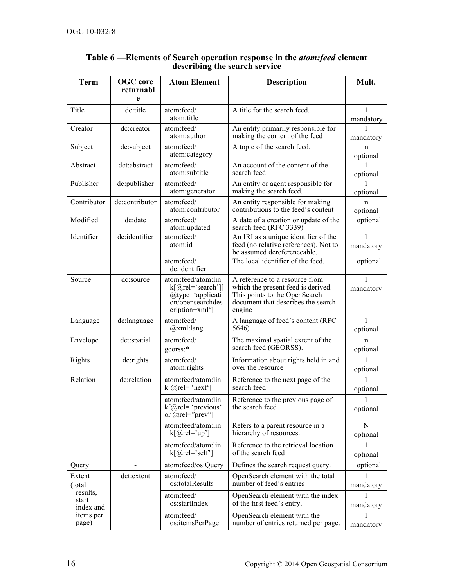| <b>Term</b>                    | <b>OGC</b> core<br>returnabl<br>e | <b>Atom Element</b>                                                                                | <b>Description</b>                                                                                                                                    | Mult.          |
|--------------------------------|-----------------------------------|----------------------------------------------------------------------------------------------------|-------------------------------------------------------------------------------------------------------------------------------------------------------|----------------|
| Title                          | dc:title                          | atom:feed/                                                                                         | A title for the search feed.                                                                                                                          | 1              |
|                                |                                   | atom:title                                                                                         |                                                                                                                                                       | mandatory      |
| Creator                        | dc:creator                        | atom:feed/<br>atom:author                                                                          | An entity primarily responsible for<br>making the content of the feed                                                                                 | mandatory      |
| Subject                        | dc:subject                        | atom:feed/<br>atom:category                                                                        | A topic of the search feed.                                                                                                                           | n<br>optional  |
| Abstract                       | dct:abstract                      | atom:feed/<br>atom:subtitle                                                                        | An account of the content of the<br>search feed                                                                                                       | optional       |
| Publisher                      | dc:publisher                      | atom:feed/<br>atom:generator                                                                       | An entity or agent responsible for<br>making the search feed.                                                                                         | 1<br>optional  |
| Contributor                    | dc:contributor                    | atom:feed/<br>atom:contributor                                                                     | An entity responsible for making<br>contributions to the feed's content                                                                               | n<br>optional  |
| Modified                       | dc:date                           | atom:feed/<br>atom:updated                                                                         | A date of a creation or update of the<br>search feed (RFC 3339)                                                                                       | 1 optional     |
| Identifier                     | dc:identifier                     | atom:feed/<br>atom:id                                                                              | An IRI as a unique identifier of the<br>feed (no relative references). Not to<br>be assumed dereferenceable.                                          | mandatory      |
|                                |                                   | atom:feed/<br>dc:identifier                                                                        | The local identifier of the feed.                                                                                                                     | 1 optional     |
| Source                         | dc:source                         | atom:feed/atom:lin<br>$k[@rel='search']$<br>@type='applicati<br>on/opensearchdes<br>cription+xml'] | A reference to a resource from<br>which the present feed is derived.<br>This points to the OpenSearch<br>document that describes the search<br>engine | 1<br>mandatory |
| Language                       | dc:language                       | atom:feed/<br>@xml:lang                                                                            | A language of feed's content (RFC<br>5646)                                                                                                            | 1<br>optional  |
| Envelope                       | dct:spatial                       | atom:feed/<br>georss:*                                                                             | The maximal spatial extent of the<br>search feed (GEORSS).                                                                                            | n<br>optional  |
| Rights                         | dc: rights                        | atom:feed/<br>atom:rights                                                                          | Information about rights held in and<br>over the resource                                                                                             | 1<br>optional  |
| Relation                       | dc:relation                       | atom:feed/atom:lin<br>$k[@rel='next']$                                                             | Reference to the next page of the<br>search feed                                                                                                      | 1<br>optional  |
|                                |                                   | atom:feed/atom:lin<br>$k[@rel='previous'$<br>or $@$ rel="prev"]                                    | Reference to the previous page of<br>the search feed                                                                                                  | ı<br>optional  |
|                                |                                   | atom:feed/atom:lin<br>$k[@rel='up']$                                                               | Refers to a parent resource in a<br>hierarchy of resources.                                                                                           | N<br>optional  |
|                                |                                   | atom:feed/atom:lin<br>$k[@rel='self']$                                                             | Reference to the retrieval location<br>of the search feed                                                                                             | optional       |
| Query                          |                                   | atom:feed/os:Query                                                                                 | Defines the search request query.                                                                                                                     | 1 optional     |
| Extent<br>(total               | dct:extent                        | atom:feed/<br>os:totalResults                                                                      | OpenSearch element with the total<br>number of feed's entries                                                                                         | mandatory      |
| results,<br>start<br>index and | atom:feed/<br>os:startIndex       |                                                                                                    | OpenSearch element with the index<br>of the first feed's entry.                                                                                       | mandatory      |
| items per<br>page)             |                                   | atom:feed/<br>os:itemsPerPage                                                                      | OpenSearch element with the<br>number of entries returned per page.                                                                                   | 1<br>mandatory |

#### **Table 6 —Elements of Search operation response in the** *atom:feed* **element describing the search service**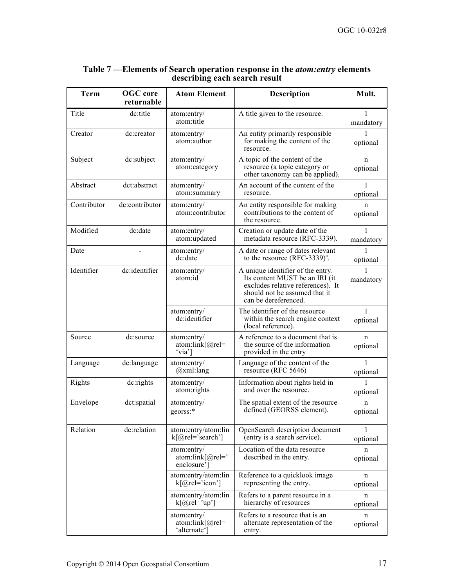| <b>Term</b>                 | <b>OGC</b> core<br>returnable | <b>Atom Element</b>                                                                                                                                                                         | <b>Description</b>                                                                                | Mult.          |
|-----------------------------|-------------------------------|---------------------------------------------------------------------------------------------------------------------------------------------------------------------------------------------|---------------------------------------------------------------------------------------------------|----------------|
| Title                       | dc:title                      | atom:entry/<br>atom:title                                                                                                                                                                   | A title given to the resource.                                                                    | 1<br>mandatory |
| Creator                     | dc:creator                    | atom:entry/<br>atom:author                                                                                                                                                                  | An entity primarily responsible<br>for making the content of the<br>resource.                     | optional       |
| Subject                     | dc:subject                    | atom:entry/<br>atom:category                                                                                                                                                                | A topic of the content of the<br>resource (a topic category or<br>other taxonomy can be applied). | n<br>optional  |
| Abstract                    | dct:abstract                  | atom:entry/<br>atom:summary                                                                                                                                                                 | An account of the content of the<br>resource.                                                     |                |
| Contributor                 | dc:contributor                | atom:entry/<br>atom:contributor                                                                                                                                                             | An entity responsible for making<br>contributions to the content of<br>the resource.              | n<br>optional  |
| Modified                    | dc:date                       | atom:entry/<br>atom:updated                                                                                                                                                                 | Creation or update date of the<br>metadata resource (RFC-3339).                                   | mandatory      |
| Date                        |                               | atom:entry/<br>dc:date                                                                                                                                                                      | A date or range of dates relevant<br>to the resource $(RFC-3339)^{a}$ .                           | optional       |
| Identifier<br>dc:identifier |                               | A unique identifier of the entry.<br>atom:entry/<br>atom:id<br>Its content MUST be an IRI (it<br>excludes relative references). It<br>should not be assumed that it<br>can be dereferenced. |                                                                                                   | mandatory      |
|                             |                               | atom:entry/<br>dc:identifier                                                                                                                                                                | The identifier of the resource<br>within the search engine context<br>(local reference).          | 1<br>optional  |
| Source                      | dc:source                     | atom:entry/<br>$atom:link[@rel=$<br>'via']                                                                                                                                                  | A reference to a document that is<br>the source of the information<br>provided in the entry       | n<br>optional  |
| Language                    | dc:language                   | atom:entry/<br>$(a)$ xml:lang                                                                                                                                                               | Language of the content of the<br>resource (RFC 5646)                                             | 1<br>optional  |
| Rights                      | dc: rights                    | atom:entry/<br>atom:rights                                                                                                                                                                  | Information about rights held in<br>and over the resource.                                        | optional       |
| Envelope                    | dct:spatial                   | atom:entry/<br>georss:*                                                                                                                                                                     | The spatial extent of the resource<br>defined (GEORSS element).                                   | n<br>optional  |
| Relation                    | dc:relation                   | atom:entry/atom:lin<br>$k[@rel='search']$                                                                                                                                                   | OpenSearch description document<br>(entry is a search service).                                   | 1<br>optional  |
|                             |                               | atom:entry/<br>atom: $link[@rel='$<br>enclosure'                                                                                                                                            | Location of the data resource<br>described in the entry.                                          | n<br>optional  |
|                             |                               | atom:entry/atom:lin<br>$k[@rel='icon']$                                                                                                                                                     | Reference to a quicklook image<br>representing the entry.                                         | n<br>optional  |
|                             |                               | atom:entry/atom:lin<br>$k[@rel='up']$                                                                                                                                                       | Refers to a parent resource in a<br>hierarchy of resources                                        | n<br>optional  |
|                             |                               | atom:entry/<br>atom:link $[@rel=$<br>'alternate']                                                                                                                                           | Refers to a resource that is an<br>alternate representation of the<br>entry.                      | n<br>optional  |

#### **Table 7 —Elements of Search operation response in the** *atom:entry* **elements describing each search result**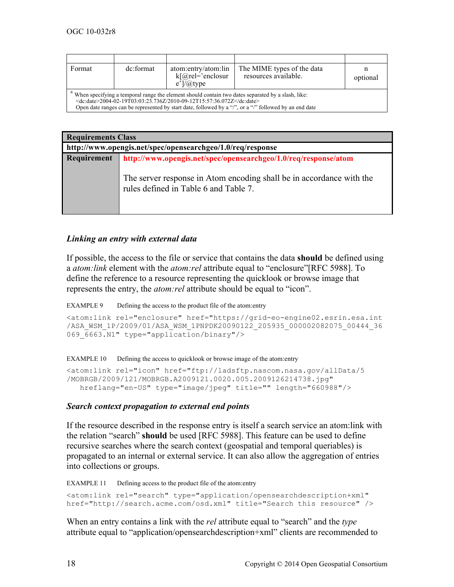| Format                                                                                                                                                                                                                                                                                                          | dc:format | atom:entry/atom:lin<br>$k[@rel='enclosure]$<br>$e^{\prime}/\sqrt{a}$ type | The MIME types of the data<br>resources available. | optional |  |
|-----------------------------------------------------------------------------------------------------------------------------------------------------------------------------------------------------------------------------------------------------------------------------------------------------------------|-----------|---------------------------------------------------------------------------|----------------------------------------------------|----------|--|
| " When specifying a temporal range the element should contain two dates separated by a slash, like:<br>$\leq$ dc:date $\geq$ 2004-02-19T03:03:23.736Z/2010-09-12T15:57:36.072Z $\leq$ /dc:date $\geq$<br>Open date ranges can be represented by start date, followed by a "/", or a "/" followed by an end date |           |                                                                           |                                                    |          |  |

| <b>Requirements Class</b>                                  |                                                                                                                                                                                  |  |  |
|------------------------------------------------------------|----------------------------------------------------------------------------------------------------------------------------------------------------------------------------------|--|--|
| http://www.opengis.net/spec/opensearchgeo/1.0/req/response |                                                                                                                                                                                  |  |  |
| Requirement                                                | http://www.opengis.net/spec/opensearchgeo/1.0/req/response/atom<br>The server response in Atom encoding shall be in accordance with the<br>rules defined in Table 6 and Table 7. |  |  |

#### *Linking an entry with external data*

If possible, the access to the file or service that contains the data **should** be defined using a *atom:link* element with the *atom:rel* attribute equal to "enclosure"[RFC 5988]. To define the reference to a resource representing the quicklook or browse image that represents the entry, the *atom:rel* attribute should be equal to "icon".

EXAMPLE 9 Defining the access to the product file of the atom: entry

```
<atom:link rel="enclosure" href="https://grid-eo-engine02.esrin.esa.int
/ASA_WSM_1P/2009/01/ASA_WSM_1PNPDK20090122_205935_000002082075_00444_36
069 6663.N1" type="application/binary"/>
```
EXAMPLE 10 Defining the access to quicklook or browse image of the atom: entry

```
<atom:link rel="icon" href="ftp://ladsftp.nascom.nasa.gov/allData/5
/MOBRGB/2009/121/MOBRGB.A2009121.0020.005.2009126214738.jpg"
   hreflang="en-US" type="image/jpeg" title="" length="660988"/>
```
#### *Search context propagation to external end points*

If the resource described in the response entry is itself a search service an atom:link with the relation "search" **should** be used [RFC 5988]. This feature can be used to define recursive searches where the search context (geospatial and temporal queriables) is propagated to an internal or external service. It can also allow the aggregation of entries into collections or groups.

EXAMPLE 11 Defining access to the product file of the atom: entry

```
<atom:link rel="search" type="application/opensearchdescription+xml"
href="http://search.acme.com/osd.xml" title="Search this resource" />
```
When an entry contains a link with the *rel* attribute equal to "search" and the *type* attribute equal to "application/opensearchdescription+xml" clients are recommended to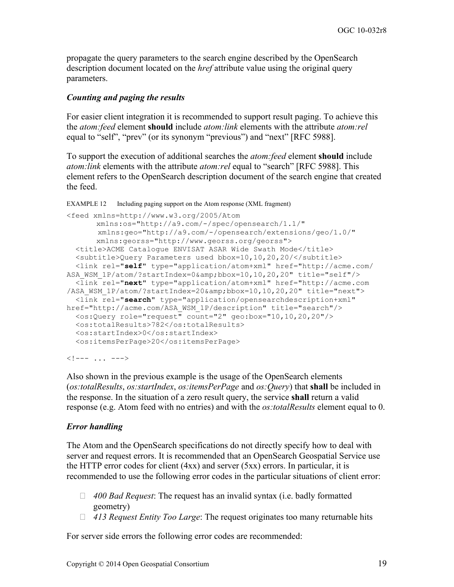propagate the query parameters to the search engine described by the OpenSearch description document located on the *href* attribute value using the original query parameters.

## *Counting and paging the results*

For easier client integration it is recommended to support result paging. To achieve this the *atom:feed* element **should** include *atom:link* elements with the attribute *atom:rel* equal to "self", "prev" (or its synonym "previous") and "next" [RFC 5988].

To support the execution of additional searches the *atom:feed* element **should** include *atom:link* elements with the attribute *atom:rel* equal to "search" [RFC 5988]. This element refers to the OpenSearch description document of the search engine that created the feed.

```
EXAMPLE 12 Including paging support on the Atom response (XML fragment)
```

```
<feed xmlns=http://www.w3.org/2005/Atom
      xmlns:os="http://a9.com/-/spec/opensearch/1.1/"
       xmlns:geo="http://a9.com/-/opensearch/extensions/geo/1.0/"
      xmlns:georss="http://www.georss.org/georss">
   <title>ACME Catalogue ENVISAT ASAR Wide Swath Mode</title>
   <subtitle>Query Parameters used bbox=10,10,20,20/</subtitle>
   <link rel="self" type="application/atom+xml" href="http://acme.com/
ASA_WSM_1P/atom/?startIndex=0&bbox=10,10,20,20" title="self"/>
   <link rel="next" type="application/atom+xml" href="http://acme.com
/ASA_WSM_1P/atom/?startIndex=20&bbox=10,10,20,20" title="next">
   <link rel="search" type="application/opensearchdescription+xml" 
href="http://acme.com/ASA_WSM_1P/description" title="search"/>
  <os:Query role="request" count="2" geo:box="10,10,20,20"/>
   <os:totalResults>782</os:totalResults>
  <os:startIndex>0</os:startIndex>
  <os:itemsPerPage>20</os:itemsPerPage>
```
 $\langle$ !--- ... --->

Also shown in the previous example is the usage of the OpenSearch elements (*os:totalResults*, *os:startIndex*, *os:itemsPerPage* and *os:Query*) that **shall** be included in the response. In the situation of a zero result query, the service **shall** return a valid response (e.g. Atom feed with no entries) and with the *os:totalResults* element equal to 0.

## *Error handling*

The Atom and the OpenSearch specifications do not directly specify how to deal with server and request errors. It is recommended that an OpenSearch Geospatial Service use the HTTP error codes for client (4xx) and server (5xx) errors. In particular, it is recommended to use the following error codes in the particular situations of client error:

- *400 Bad Request*: The request has an invalid syntax (i.e. badly formatted geometry)
- *413 Request Entity Too Large*: The request originates too many returnable hits

For server side errors the following error codes are recommended: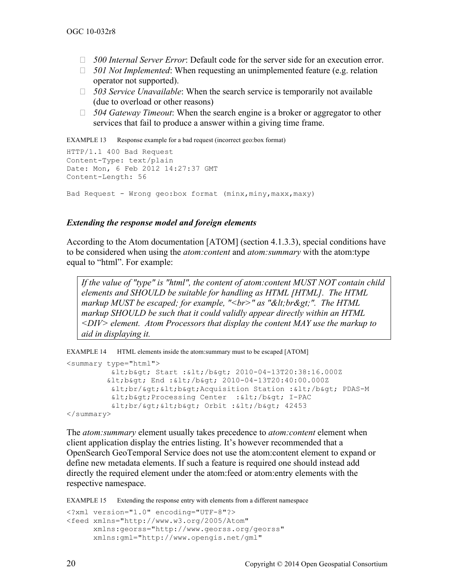- *500 Internal Server Error*: Default code for the server side for an execution error.
- *501 Not Implemented*: When requesting an unimplemented feature (e.g. relation operator not supported).
- *503 Service Unavailable*: When the search service is temporarily not available (due to overload or other reasons)
- *504 Gateway Timeout*: When the search engine is a broker or aggregator to other services that fail to produce a answer within a giving time frame.

EXAMPLE 13 Response example for a bad request (incorrect geo:box format)

```
HTTP/1.1 400 Bad Request
Content-Type: text/plain
Date: Mon, 6 Feb 2012 14:27:37 GMT
Content-Length: 56
Bad Request - Wrong geo:box format (minx,miny,maxx,maxy)
```
#### *Extending the response model and foreign elements*

According to the Atom documentation [ATOM] (section 4.1.3.3), special conditions have to be considered when using the *atom:content* and *atom:summary* with the atom:type equal to "html". For example:

*If the value of "type" is "html", the content of atom:content MUST NOT contain child elements and SHOULD be suitable for handling as HTML [HTML]. The HTML markup MUST be escaped; for example, "<br>" as "&lt;br&gt;". The HTML markup SHOULD be such that it could validly appear directly within an HTML <DIV> element. Atom Processors that display the content MAY use the markup to aid in displaying it.*

EXAMPLE 14 HTML elements inside the atom:summary must to be escaped [ATOM]

```
<summary type="html">
         <b> Start :</b> 2010-04-13T20:38:16.000Z
         <b> End :</b> 2010-04-13T20:40:00.000Z
         klt; brf & pt; & lt; b&qt; Acquisition Station : & lt; / b&qt; PDAS-M
         <lt; b<gt; Processing Center : <lt; t / b<gt; t I-PAC
         <br/><b> Orbit :</b> 42453
</summary>
```
The *atom:summary* element usually takes precedence to *atom:content* element when client application display the entries listing. It's however recommended that a OpenSearch GeoTemporal Service does not use the atom:content element to expand or define new metadata elements. If such a feature is required one should instead add directly the required element under the atom:feed or atom:entry elements with the respective namespace.

EXAMPLE 15 Extending the response entry with elements from a different namespace

```
<?xml version="1.0" encoding="UTF-8"?>
<feed xmlns="http://www.w3.org/2005/Atom"
       xmlns:georss="http://www.georss.org/georss"
       xmlns:gml="http://www.opengis.net/gml"
```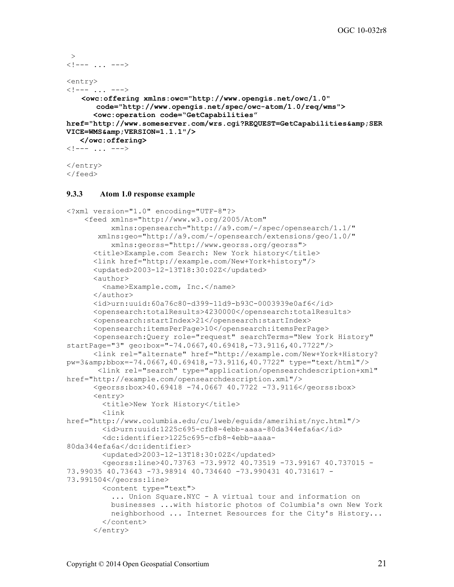```
\rightarrow\langle!--- ... --->
<entry>
\langle ! \, \text{---} \, . \, . \, . \, \text{---} \rangle<owc:offering xmlns:owc="http://www.opengis.net/owc/1.0"
         code="http://www.opengis.net/spec/owc-atom/1.0/req/wms">
         <owc:operation code="GetCapabilities"
href="http://www.someserver.com/wrs.cgi?REQUEST=GetCapabilities&SER
VICE=WMS & amp; VERSION = 1.1.1"/>
     </owc:offering>
\langle ! \, \text{---} \, \ldots \, \text{---} \rangle</entry>
</feed>
```
#### **9.3.3 Atom 1.0 response example**

```
<?xml version="1.0" encoding="UTF-8"?>
     <feed xmlns="http://www.w3.org/2005/Atom" 
           xmlns:opensearch="http://a9.com/-/spec/opensearch/1.1/"
        xmlns:geo="http://a9.com/-/opensearch/extensions/geo/1.0/"
           xmlns:georss="http://www.georss.org/georss">
       <title>Example.com Search: New York history</title> 
       <link href="http://example.com/New+York+history"/>
       <updated>2003-12-13T18:30:02Z</updated>
       <author> 
         <name>Example.com, Inc.</name>
       </author> 
       <id>urn:uuid:60a76c80-d399-11d9-b93C-0003939e0af6</id>
       <opensearch:totalResults>4230000</opensearch:totalResults>
       <opensearch:startIndex>21</opensearch:startIndex>
       <opensearch:itemsPerPage>10</opensearch:itemsPerPage>
       <opensearch:Query role="request" searchTerms="New York History" 
startPage="3" geo:box="-74.0667,40.69418,-73.9116,40.7722"/>
       <link rel="alternate" href="http://example.com/New+York+History?
pw=3&bbox=-74.0667,40.69418,-73.9116,40.7722" type="text/html"/>
        <link rel="search" type="application/opensearchdescription+xml" 
href="http://example.com/opensearchdescription.xml"/>
       <georss:box>40.69418 -74.0667 40.7722 -73.9116</georss:box>
       <entry>
         <title>New York History</title>
         <link 
href="http://www.columbia.edu/cu/lweb/eguids/amerihist/nyc.html"/>
         <id>urn:uuid:1225c695-cfb8-4ebb-aaaa-80da344efa6a</id>
         <dc:identifier>1225c695-cfb8-4ebb-aaaa-
80da344efa6a</dc:identifier>
         <updated>2003-12-13T18:30:02Z</updated>
         <georss:line>40.73763 -73.9972 40.73519 -73.99167 40.737015 -
73.99035 40.73643 -73.98914 40.734640 -73.990431 40.731617 -
73.991504</georss:line>
         <content type="text">
           ... Union Square.NYC - A virtual tour and information on 
           businesses ...with historic photos of Columbia's own New York 
           neighborhood ... Internet Resources for the City's History...
         </content>
       </entry>
```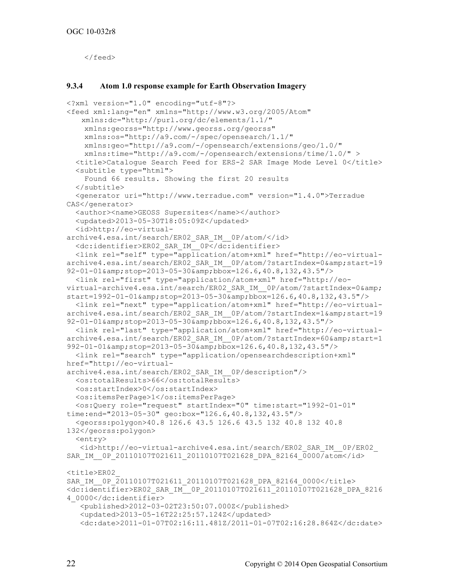</feed>

#### **9.3.4 Atom 1.0 response example for Earth Observation Imagery**

```
<?xml version="1.0" encoding="utf-8"?>
<feed xml:lang="en" xmlns="http://www.w3.org/2005/Atom"
   xmlns:dc="http://purl.org/dc/elements/1.1/"
     xmlns:georss="http://www.georss.org/georss" 
     xmlns:os="http://a9.com/-/spec/opensearch/1.1/"
     xmlns:geo="http://a9.com/-/opensearch/extensions/geo/1.0/"
     xmlns:time="http://a9.com/-/opensearch/extensions/time/1.0/" >
   <title>Catalogue Search Feed for ERS-2 SAR Image Mode Level 0</title>
   <subtitle type="html">
     Found 66 results. Showing the first 20 results 
   </subtitle>
   <generator uri="http://www.terradue.com" version="1.4.0">Terradue 
CAS</generator>
   <author><name>GEOSS Supersites</name></author>
   <updated>2013-05-30T18:05:09Z</updated>
   <id>http://eo-virtual-
archive4.esa.int/search/ER02_SAR_IM__0P/atom/</id>
   <dc:identifier>ER02_SAR_IM__0P</dc:identifier>
   <link rel="self" type="application/atom+xml" href="http://eo-virtual-
archive4.esa.int/search/ER02 SAR IM 0P/atom/?startIndex=0&start=19
92-01-01&stop=2013-05-30&bbox=126.6,40.8,132,43.5"/>
   <link rel="first" type="application/atom+xml" href="http://eo-
virtual-archive4.esa.int/search/ER02 SAR IM 0P/atom/?startIndex=0&
start=1992-01-01\&;stop=2013-05-30\&;不0x=126.6,40.8,132,43.5"/>
   <link rel="next" type="application/atom+xml" href="http://eo-virtual-
archive4.esa.int/search/ER02_SAR_IM__0P/atom/?startIndex=1&start=19
92-01-01& stop=2013-05-30& bbox=126.6,40.8,132,43.5"/>
   <link rel="last" type="application/atom+xml" href="http://eo-virtual-
archive4.esa.int/search/ER02 SAR IM 0P/atom/?startIndex=60&start=1
992-01-01&stop=2013-05-30&bbox=126.6,40.8,132,43.5"/>
   <link rel="search" type="application/opensearchdescription+xml" 
href="http://eo-virtual-
archive4.esa.int/search/ER02_SAR_IM__0P/description"/>
   <os:totalResults>66</os:totalResults>
   <os:startIndex>0</os:startIndex>
   <os:itemsPerPage>1</os:itemsPerPage>
   <os:Query role="request" startIndex="0" time:start="1992-01-01" 
time:end="2013-05-30" geo:box="126.6,40.8,132,43.5"/>
   <georss:polygon>40.8 126.6 43.5 126.6 43.5 132 40.8 132 40.8 
132</georss:polygon>
   <entry>
    <id>http://eo-virtual-archive4.esa.int/search/ER02_SAR_IM__0P/ER02_ 
SAR_IM_0P_20110107T021611_20110107T021628_DPA_82164_0000/atom</id>
<title>ER02_ 
SAR_IM_0P_20110107T021611_20110107T021628_DPA_82164_0000</title>
<dc:identifier>ER02_SAR_IM__0P_20110107T021611_20110107T021628_DPA_8216
4_0000</dc:identifier>
    <published>2012-03-02T23:50:07.000Z</published>
    <updated>2013-05-16T22:25:57.124Z</updated>
    <dc:date>2011-01-07T02:16:11.481Z/2011-01-07T02:16:28.864Z</dc:date>
```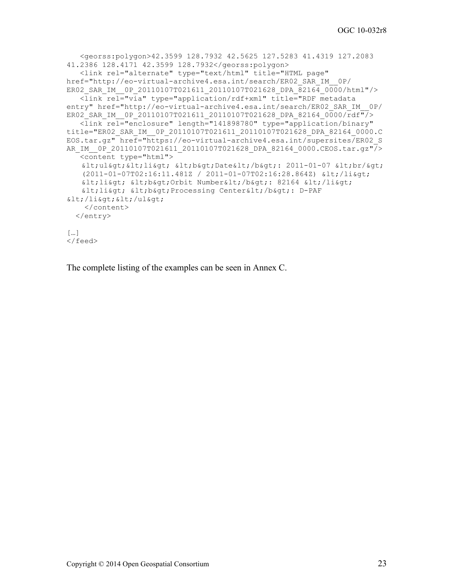```
 <georss:polygon>42.3599 128.7932 42.5625 127.5283 41.4319 127.2083 
41.2386 128.4171 42.3599 128.7932</georss:polygon>
    <link rel="alternate" type="text/html" title="HTML page" 
href="http://eo-virtual-archive4.esa.int/search/ER02_SAR_IM__0P/ 
ER02 SAR_IM_0P_20110107T021611_20110107T021628_DPA_82164_0000/html"/>
    <link rel="via" type="application/rdf+xml" title="RDF metadata 
entry" href="http://eo-virtual-archive4.esa.int/search/ER02 SAR_IM_0P/
ER02 SAR IM 0P 20110107T021611 20110107T021628 DPA 82164 0000/rdf"/>
    <link rel="enclosure" length="141898780" type="application/binary" 
title="ER02_SAR_IM__0P_20110107T021611_20110107T021628_DPA_82164_0000.C
EOS.tar.gz" href="https://eo-virtual-archive4.esa.int/supersites/ER02_S 
AR_IM_0P_20110107T021611_20110107T021628_DPA_82164_0000.CEOS.tar.gz"/>
    <content type="html">
   <1t;ul><li&gt; &lt;b&gt;Date&lt;/b&gt; 2011-01-07 &lt;br/&gt;
   (2011-01-07T02:16:11.481Z / 2011-01-07T02:16:28.864Z) </li>
   <1i<7 \<1, >8 \<6, <9 \<1 \>9 \<1 \>1 \>1 \>1< li&gt; &lt; b&gt; Processing Center&lt; /b&gt; : D-PAF
</li>/</ul> </content>
   </entry>
\lceil \dots \rceil</feed>
```
The complete listing of the examples can be seen in Annex C.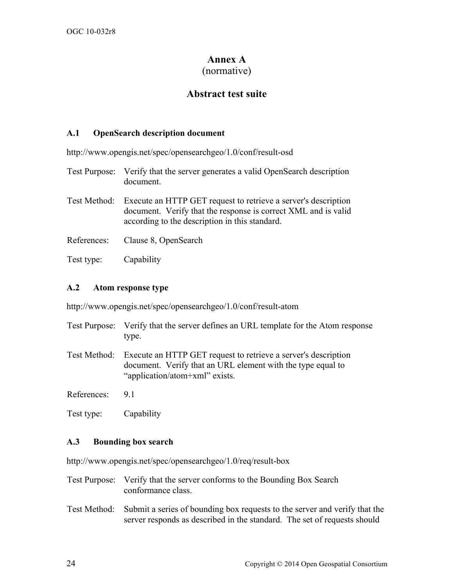# **Annex A**

## (normative)

# **Abstract test suite**

## **A.1 OpenSearch description document**

http://www.opengis.net/spec/opensearchgeo/1.0/conf/result-osd

- Test Purpose: Verify that the server generates a valid OpenSearch description document.
- Test Method: Execute an HTTP GET request to retrieve a server's description document. Verify that the response is correct XML and is valid according to the description in this standard.
- References: Clause 8, OpenSearch
- Test type: Capability

## **A.2 Atom response type**

http://www.opengis.net/spec/opensearchgeo/1.0/conf/result-atom

- Test Purpose: Verify that the server defines an URL template for the Atom response type.
- Test Method: Execute an HTTP GET request to retrieve a server's description document. Verify that an URL element with the type equal to "application/atom+xml" exists.

References: 9.1

Test type: Capability

## **A.3 Bounding box search**

http://www.opengis.net/spec/opensearchgeo/1.0/req/result-box

- Test Purpose: Verify that the server conforms to the Bounding Box Search conformance class.
- Test Method: Submit a series of bounding box requests to the server and verify that the server responds as described in the standard. The set of requests should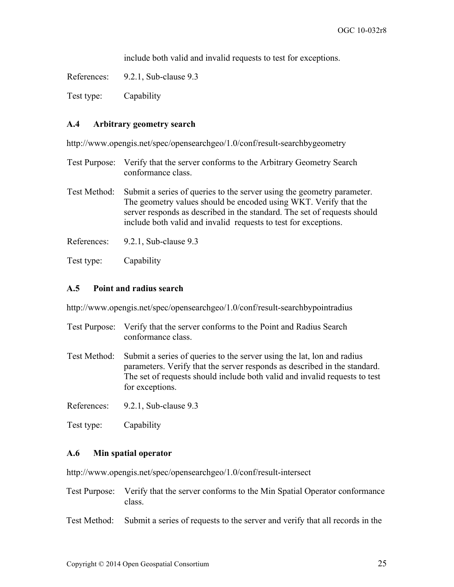include both valid and invalid requests to test for exceptions.

References: 9.2.1, Sub-clause 9.3

Test type: Capability

#### **A.4 Arbitrary geometry search**

http://www.opengis.net/spec/opensearchgeo/1.0/conf/result-searchbygeometry

- Test Purpose: Verify that the server conforms to the Arbitrary Geometry Search conformance class.
- Test Method: Submit a series of queries to the server using the geometry parameter. The geometry values should be encoded using WKT. Verify that the server responds as described in the standard. The set of requests should include both valid and invalid requests to test for exceptions.
- References: 9.2.1, Sub-clause 9.3
- Test type: Capability

#### **A.5 Point and radius search**

http://www.opengis.net/spec/opensearchgeo/1.0/conf/result-searchbypointradius

- Test Purpose: Verify that the server conforms to the Point and Radius Search conformance class.
- Test Method: Submit a series of queries to the server using the lat, lon and radius parameters. Verify that the server responds as described in the standard. The set of requests should include both valid and invalid requests to test for exceptions.

References: 9.2.1, Sub-clause 9.3

Test type: Capability

## **A.6 Min spatial operator**

http://www.opengis.net/spec/opensearchgeo/1.0/conf/result-intersect

- Test Purpose: Verify that the server conforms to the Min Spatial Operator conformance class.
- Test Method: Submit a series of requests to the server and verify that all records in the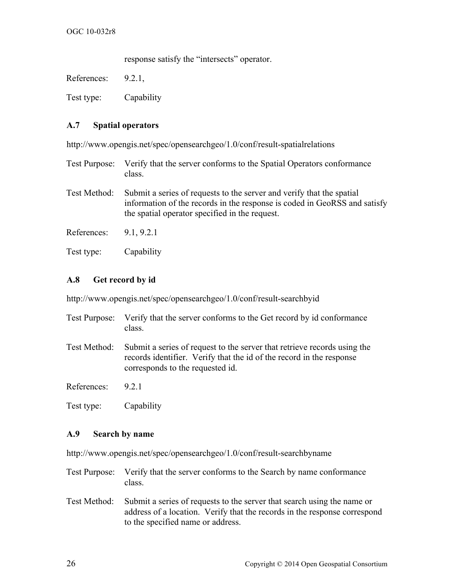response satisfy the "intersects" operator.

References: 9.2.1,

Test type: Capability

#### **A.7 Spatial operators**

http://www.opengis.net/spec/opensearchgeo/1.0/conf/result-spatialrelations

- Test Purpose: Verify that the server conforms to the Spatial Operators conformance class.
- Test Method: Submit a series of requests to the server and verify that the spatial information of the records in the response is coded in GeoRSS and satisfy the spatial operator specified in the request.
- References: 9.1, 9.2.1
- Test type: Capability

#### **A.8 Get record by id**

http://www.opengis.net/spec/opensearchgeo/1.0/conf/result-searchbyid

- Test Purpose: Verify that the server conforms to the Get record by id conformance class.
- Test Method: Submit a series of request to the server that retrieve records using the records identifier. Verify that the id of the record in the response corresponds to the requested id.

References: 9.2.1

Test type: Capability

#### **A.9 Search by name**

http://www.opengis.net/spec/opensearchgeo/1.0/conf/result-searchbyname

- Test Purpose: Verify that the server conforms to the Search by name conformance class.
- Test Method: Submit a series of requests to the server that search using the name or address of a location. Verify that the records in the response correspond to the specified name or address.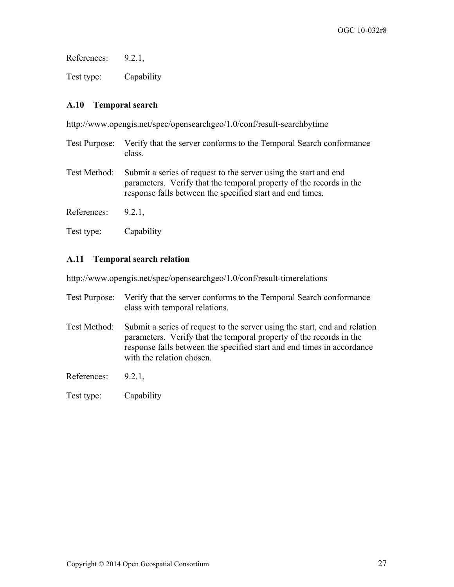References: 9.2.1,

Test type: Capability

## **A.10 Temporal search**

http://www.opengis.net/spec/opensearchgeo/1.0/conf/result-searchbytime

- Test Purpose: Verify that the server conforms to the Temporal Search conformance class.
- Test Method: Submit a series of request to the server using the start and end parameters. Verify that the temporal property of the records in the response falls between the specified start and end times.
- References: 9.2.1,
- Test type: Capability

#### **A.11 Temporal search relation**

http://www.opengis.net/spec/opensearchgeo/1.0/conf/result-timerelations

- Test Purpose: Verify that the server conforms to the Temporal Search conformance class with temporal relations.
- Test Method: Submit a series of request to the server using the start, end and relation parameters. Verify that the temporal property of the records in the response falls between the specified start and end times in accordance with the relation chosen

References: 9.2.1,

Test type: Capability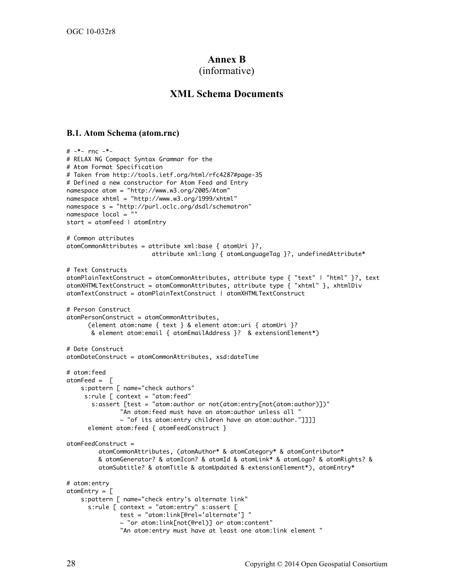## **Annex B**

#### (informative)

#### **XML Schema Documents**

#### **B.1. Atom Schema (atom.rnc)**

```
# - *- rnc - *-
# RELAX NG Compact Syntax Grammar for the
# Atom Format Specification 
# Taken from http://tools.ietf.org/html/rfc4287#page-35
# Defined a new constructor for Atom Feed and Entry
namespace atom = "http://www.w3.org/2005/Atom"
namespace xhtml = "http://www.w3.org/1999/xhtml"
namespace s = "http://purl.oclc.org/dsdl/schematron"
namespace local = "" 
start = atomFeed | atomEntry
# Common attributes
atomCommonAttributes = attribute xml:base { atomUri }?, 
                          attribute xml:lang { atomLanguageTag }?, undefinedAttribute*
# Text Constructs
atomPlainTextConstruct = atomCommonAttributes, attribute type { "text" | "html" }?, text
atomXHTMLTextConstruct = atomCommonAttributes, attribute type { "xhtml" }, xhtmlDiv
atomTextConstruct = atomPlainTextConstruct | atomXHTMLTextConstruct
# Person Construct
atomPersonConstruct = atomCommonAttributes,
       (element atom:name { text } & element atom:uri { atomUri }?
        & element atom:email { atomEmailAddress }? & extensionElement*)
# Date Construct
atomDateConstruct = atomCommonAttributes, xsd:dateTime
# atom:feed
atomiced = \Gamma s:pattern [ name="check authors"
     s: rule \space r = 1 context = "atom: feed"
        s:assert [test = "atom:author or not(atom:entry[not(atom:author)])"
                "An atom:feed must have an atom:author unless all "
                ~ "of its atom:entry children have an atom:author."]]]]
       element atom:feed { atomFeedConstruct } 
atomFeedConstruct =
          atomCommonAttributes, (atomAuthor* & atomCategory* & atomContributor* 
          & atomGenerator? & atomIcon? & atomId & atomLink* & atomLogo? & atomRights? & 
          atomSubtitle? & atomTitle & atomUpdated & extensionElement*), atomEntry*
# atom:entry
atomicntry = \Gamma s:pattern [ name="check entry's alternate link"
       s:rule [ context = "atom:entry" s:assert [
                test = "atom:link[@rel='alternate'] "
                ~ "or atom:link[not(@rel)] or atom:content"
                "An atom:entry must have at least one atom:link element "
```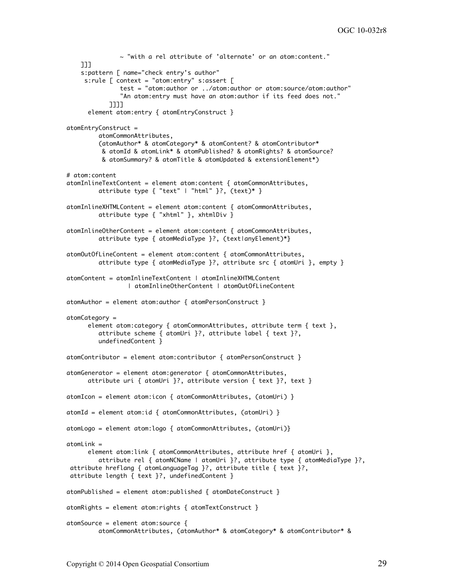```
 ~ "with a rel attribute of 'alternate' or an atom:content."
     ]]]
     s:pattern [ name="check entry's author"
      s:rule [ context = "atom:entry" s:assert [
                test = "atom:author or ../atom:author or atom:source/atom:author"
                "An atom:entry must have an atom:author if its feed does not."
             ]]]]
       element atom:entry { atomEntryConstruct } 
atomEntryConstruct = 
          atomCommonAttributes,
          (atomAuthor* & atomCategory* & atomContent? & atomContributor*
           & atomId & atomLink* & atomPublished? & atomRights? & atomSource? 
           & atomSummary? & atomTitle & atomUpdated & extensionElement*)
# atom:content
atomInlineTextContent = element atom:content { atomCommonAttributes,
         attribute type { "text" | "html" }?, (text)* }
atomInlineXHTMLContent = element atom:content { atomCommonAttributes,
          attribute type { "xhtml" }, xhtmlDiv }
atomInlineOtherContent = element atom:content { atomCommonAttributes,
          attribute type { atomMediaType }?, (text|anyElement)*}
atomOutOfLineContent = element atom:content { atomCommonAttributes,
         attribute type { atomic atomMediaType }?, attribute src { atomic atomUri }, empty }
atomContent = atomInlineTextContent | atomInlineXHTMLContent 
                  | atomInlineOtherContent | atomOutOfLineContent
atomAuthor = element atom:author { atomPersonConstruct }
atomCategory =
       element atom:category { atomCommonAttributes, attribute term { text },
          attribute scheme { atomUri }?, attribute label { text }?,
          undefinedContent }
atomContributor = element atom:contributor { atomPersonConstruct }
atomGenerator = element atom:generator { atomCommonAttributes,
       attribute uri { atomUri }?, attribute version { text }?, text }
atomIcon = element atom:icon { atomCommonAttributes, (atomUri) }
atomId = element atom:id { atomCommonAttributes, (atomUri) }
atomLogo = element atom:logo { atomCommonAttributes, (atomUri)}
atomLink =
       element atom:link { atomCommonAttributes, attribute href { atomUri }, 
          attribute rel { atomNCName | atomUri }?, attribute type { atomMediaType }?, 
attribute hreflang { atomLanguageTag }?, attribute title { text }?, 
attribute length { text }?, undefinedContent }
atomPublished = element atom:published { atomic atomDateConstruct }
atomRights = element atom:rights { atomTextConstruct }
atomSource = element atom:source {
          atomCommonAttributes, (atomAuthor* & atomCategory* & atomContributor* &
```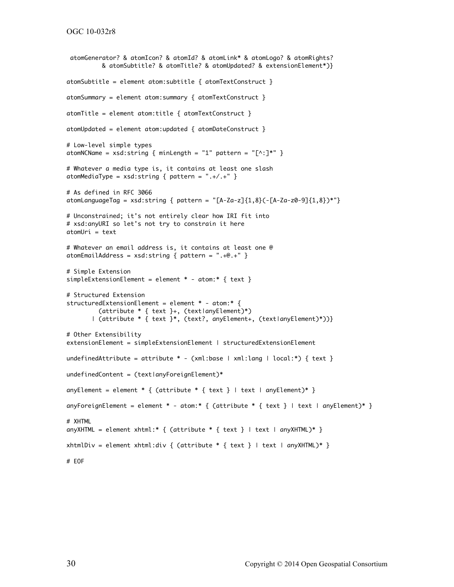```
OGC 10-032r8
```

```
atomGenerator? & atomIcon? & atomId? & atomLink* & atomLogo? & atomRights?
           & atomSubtitle? & atomTitle? & atomUpdated? & extensionElement*)}
atomSubtitle = element atom:subtitle { atomTextConstruct }
atomSummary = element atom:summary { atomTextConstruct }
atomic = element atom: title \{ atomTextConstruct \}atomUpdated = element atom:updated { atomic atomDateConstruct }
# Low-level simple types
atomNCName = xsd:string \{minLength = "1" pattern = "[^{^{\wedge}}:]^{^{\ast}}\}# Whatever a media type is, it contains at least one slash
atomMediaType = xsd:string \{ pattern = ".+/.+" \}# As defined in RFC 3066
atomLanguageTag = xsd:string \{ pattern = "[A-Za-z][1,8](-[A-Za-z0-9][1,8])*"}
# Unconstrained; it's not entirely clear how IRI fit into
# xsd:anyURI so let's not try to constrain it here
atomUri = text
# Whatever an email address is, it contains at least one @
atomEmailAddress = xsd:string \{ pattern = ".+@.+" \}# Simple Extension
simpleExtensionElement = element * - atom:* { text }
# Structured Extension
structuredExtensionElement = element * - atom.* {
          (attribute * { text }+, (text|anyElement)*)
        | (attribute * { text }*, (text?, anyElement+, (text|anyElement)*))}
# Other Extensibility
extensionElement = simpleExtensionElement | structuredExtensionElement
undefinedAttribute = attribute * - (xm1:base | xm1:lang | local:*) { text }
undefinedContent = (textlanguage=name)+anyElement = element * { (attribute * { text } | text a nyElement)* }anyForeignElement = element * - atom:* { (attribute * { text } | text ) + text | anyElement)* }
# XHTML
anyXHTML = element xhtml:* { (attribute * { text } | text a wxHTML)* }
xhtmlDiv = element xhtml:div { (attribute * { text } | text | anyXHTML)* }
# EOF
```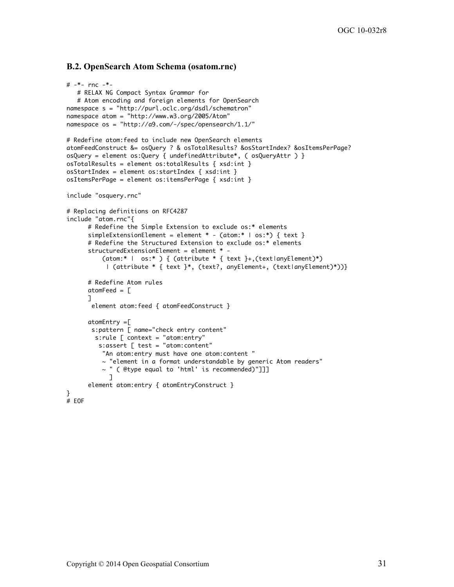#### **B.2. OpenSearch Atom Schema (osatom.rnc)**

```
# - * - rnc - * - # RELAX NG Compact Syntax Grammar for 
    # Atom encoding and foreign elements for OpenSearch 
namespace s = "http://purl.oclc.org/dsdl/schematron"
namespace atom = "http://www.w3.org/2005/Atom"
namespace os = "http://a9.com/-/spec/opensearch/1.1/"
# Redefine atom:feed to include new OpenSearch elements 
atomFeedConstruct &= osQuery ? & osTotalResults? &osStartIndex? &osItemsPerPage? 
osQuery = element os:Query { undefinedAttribute*, ( osQueryAttr ) } 
osTotalResults = element os:totalResults { xsd:int }
osStartIndex = element os:startIndex { xsd:int }
osItemsPerPage = element os:itemsPerPage { xsd:int }
include "osquery.rnc"
# Replacing definitions on RFC4287 
include "atom.rnc"{
       # Redefine the Simple Extension to exclude os:* elements
       simpleExtensionElement = element * - (atom:* | os:*) { text }
       # Redefine the Structured Extension to exclude os:* elements
      structuredExtensionElement = element * - (atom:* | os:* ) { (attribute * { text }+,(text|anyElement)*)
            | (attribute * { text }*, (text?, anyElement+, (text|anyElement)*))} 
       # Redefine Atom rules 
      atomFeed = \lceil ]
        element atom:feed { atomFeedConstruct } 
       atomEntry =[
        s:pattern [ name="check entry content"
         s:rule [ context = "atom:entry"
          s:assert [ test = "atom:content"
           "An atom:entry must have one atom:content "
          \sim "element in a format understandable by generic Atom readers"
           ~ " ( @type equal to 'html' is recommended)"]]]
             ]
       element atom:entry { atomEntryConstruct } 
}
# EOF
```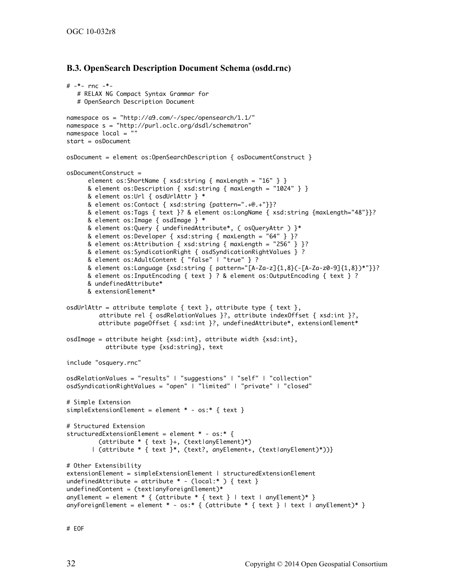#### **B.3. OpenSearch Description Document Schema (osdd.rnc)**

```
# -*- rnc -*-
    # RELAX NG Compact Syntax Grammar for
    # OpenSearch Description Document
namespace os = "http://a9.com/-/spec/opensearch/1.1/"
namespace s = "http://purl.oclc.org/dsdl/schematron"
namespace local = "" 
start = osDocument
osDocument = element os:OpenSearchDescription { osDocumentConstruct } 
osDocumentConstruct = element os:ShortName { xsd:string { maxLength = "16" } } 
     & element os:Description { xsd:string { maxLength = "1024" } }
      & element os:Url { osdUrlAttr } * 
      & element os:Contact { xsd:string {pattern=".+@.+"}}? 
      & element os:Tags { text }? & element os:LongName { xsd:string {maxLength="48"}}?
      & element os:Image { osdImage } * 
      & element os:Query { undefinedAttribute*, ( osQueryAttr ) }*
      & element os:Developer { xsd:string { maxLength = "64" } }? 
      & element os:Attribution { xsd:string { maxLength = "256" } }? 
      & element os:SyndicationRight { osdSyndicationRightValues } ? 
      & element os:AdultContent { "false" | "true" } ? 
      & element os:Language {xsd:string { pattern="[A-Za-z]{1,8}(-[A-Za-z0-9]{1,8})*"}}? 
      & element os:InputEncoding { text } ? & element os:OutputEncoding { text } ? 
      & undefinedAttribute*
      & extensionElement*
osdUrlAttr = attribute template { text }, attribute type { text },
          attribute rel { osdRelationValues }?, attribute indexOffset { xsd:int }?,
          attribute pageOffset { xsd:int }?, undefinedAttribute*, extensionElement*
osdImage = attribute height {xsd:int}, attribute width {xsd:int}, 
            attribute type {xsd:string}, text 
include "osquery.rnc"
osdRelationValues = "results" | "suggestions" | "self" | "collection" 
osdSyndicationRightValues = "open" | "limited" | "private" | "closed"
# Simple Extension
simpleExtensionElement = element * - os:* { text }
# Structured Extension
structuredExtensionElement = element * - os:* {
          (attribute * { text }+, (text|anyElement)*)
        | (attribute * { text }*, (text?, anyElement+, (text|anyElement)*))}
# Other Extensibility
extensionElement = simpleExtensionElement | structuredExtensionElement
undefinedAttribute = attribute * - (local:* ) { text }
undefinedContent = (textlanguage) *anyElement = element * { (attribute * { text } | text anyElement)* }anyForeignElement = element * - os:* { (attribute * { text } | text | anyElement)* }
```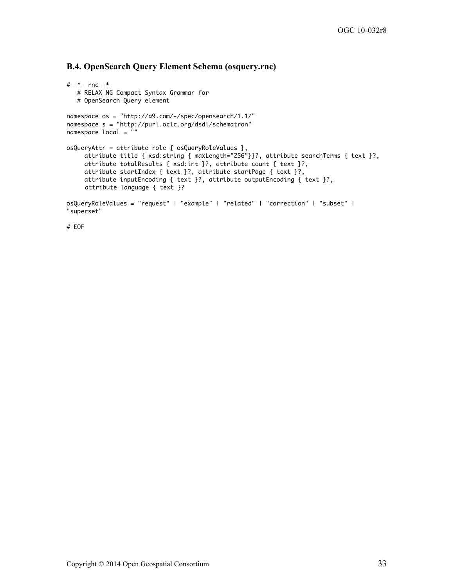#### **B.4. OpenSearch Query Element Schema (osquery.rnc)**

```
# - * - rnc - * - # RELAX NG Compact Syntax Grammar for
    # OpenSearch Query element
namespace os = "http://a9.com/-/spec/opensearch/1.1/"
namespace s = "http://purl.oclc.org/dsdl/schematron"
namespace local = ""
osQueryAttr = attribute role { osQueryRoleValues },
     attribute title { xsd:string { maxLength="256"}}?, attribute searchTerms { text }?,
     attribute totalResults { xsd:int }?, attribute count { text }?,
     attribute startIndex { text }?, attribute startPage { text }?,
     attribute inputEncoding { text }?, attribute outputEncoding { text }?,
     attribute language { text }?
osQueryRoleValues = "request" | "example" | "related" | "correction" | "subset" | 
"superset"
```

```
# EOF
```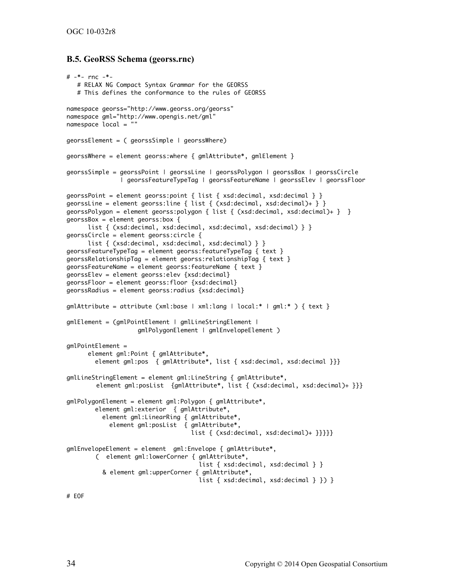#### **B.5. GeoRSS Schema (georss.rnc)**

```
# -*- rnc -*-
    # RELAX NG Compact Syntax Grammar for the GEORSS 
    # This defines the conformance to the rules of GEORSS
namespace georss="http://www.georss.org/georss" 
namespace gml="http://www.opengis.net/gml"
namespace local = ""
georssElement = ( georssSimple | georssWhere)
georssWhere = element georss: where { gmH and \{ and \}georssSimple = georssPoint | georssLine | georssPolygon | georssBox | georssCircle 
                | georssFeatureTypeTag | georssFeatureName | georssElev | georssFloor
georssPoint = element georss:point { list { xsd:decimal, xsd:decimal } } 
georssLine = element georss:line { list { (xsd:decimal, xsd:decimal)+ } }
georssPolygon = element georss:polygon { list { (xsd:decimal, xsd:decimal)+ } }
georssBox = element georss:box { 
      list { (xsd:decimal, xsd:decimal, xsd:decimal, xsd:decimal) } }
georssCircle = element georss:circle { 
      list { (xsd:decimal, xsd:decimal, xsd:decimal) } }
georssFeatureTypeTag = element georss:featureTypeTag { text } 
georssRelationshipTag = element georss:relationshipTag { text }
georssFeatureName = element georss:featureName { text }
georssElev = element georss:elev {xsd:decimal}
georssFloor = element georss:floor {xsd:decimal}
georssRadius = element georss:radius {xsd:decimal}
gmlAttribute = attribute (xml:base | xml:lang | local:* | gml:* ) { text }
gmlElement = (gmlPointElement | gmlLineStringElement | 
                     gmlPolygonElement | gmlEnvelopeElement )
gmlPointElement = 
       element gml:Point { gmlAttribute*,
         element gml:pos { gmlAttribute*, list { xsd:decimal, xsd:decimal }}}
gmlLineStringElement = element gml:LineString { gmlAttribute*, 
         element gml:posList {gmlAttribute*, list { (xsd:decimal, xsd:decimal)+ }}}
gmlPolygonElement = element gml:Polygon { gmlAttribute*,
         element gml:exterior { gmlAttribute*,
           element gml:LinearRing { gmlAttribute*,
             element gml:posList { gmlAttribute*, 
                                    list { (xsd:decimal, xsd:decimal)+ }}}}}
gmlEnvelopeElement = element gml:Envelope { gmlAttribute*, 
         ( element gml:lowerCorner { gmlAttribute*, 
                                     list { xsd:decimal, xsd:decimal } }
           & element gml:upperCorner { gmlAttribute*, 
                                     list { xsd:decimal, xsd:decimal } }) }
```
# EOF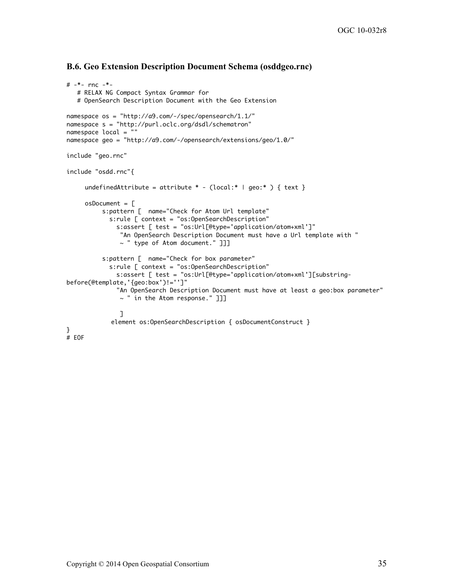#### **B.6. Geo Extension Description Document Schema (osddgeo.rnc)**

```
# - * - rnc - * - # RELAX NG Compact Syntax Grammar for
    # OpenSearch Description Document with the Geo Extension
namespace os = "http://a9.com/-/spec/opensearch/1.1/"
namespace s = "http://purl.oclc.org/dsdl/schematron"
namespace local = ""
namespace geo = "http://a9.com/-/opensearch/extensions/geo/1.0/"
include "geo.rnc"
include "osdd.rnc"{
     undefinedAttribute = attribute * - (local:* | geo:* ) { text }
     osDocument = <math>\sqrt{ } s:pattern [ name="Check for Atom Url template"
             s:rule [ context = "os:OpenSearchDescription"
               s:assert [ test = "os:Url[@type='application/atom+xml']"
                "An OpenSearch Description Document must have a Url template with "
                ~ " type of Atom document." ]]]
           s:pattern [ name="Check for box parameter"
             s:rule [ context = "os:OpenSearchDescription"
               s:assert [ test = "os:Url[@type='application/atom+xml'][substring-
before(@template,'{geo:box')!='']"
               "An OpenSearch Description Document must have at least a geo:box parameter"
                ~ " in the Atom response." ]]]
 ]
            element os: OpenSearchDescription {        osDocumentConstruct }
}
# EOF
```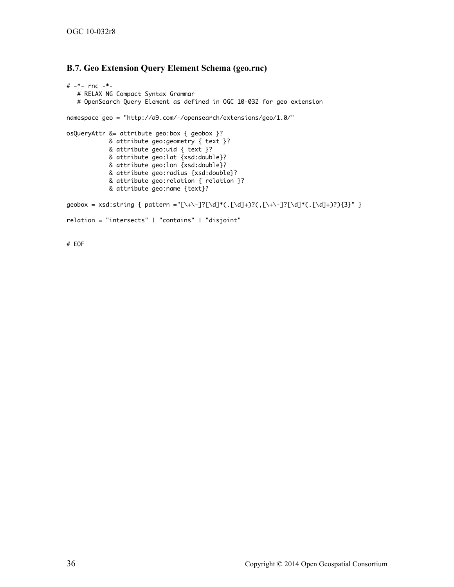#### **B.7. Geo Extension Query Element Schema (geo.rnc)**

```
# -*- rnc -*-
    # RELAX NG Compact Syntax Grammar 
    # OpenSearch Query Element as defined in OGC 10-032 for geo extension
namespace geo = "http://a9.com/-/opensearch/extensions/geo/1.0/"
osQueryAttr &= attribute geo:box { geobox }? 
             & attribute geo:geometry { text }?
             & attribute geo:uid { text }?
             & attribute geo:lat {xsd:double}?
             & attribute geo:lon {xsd:double}?
             & attribute geo:radius {xsd:double}?
             & attribute geo:relation { relation }?
             & attribute geo:name {text}?
geobox = xsd:string { pattern ="[\+\-]?[\d]*(.[\d]+)?(,[\+\-]?[\d]*(.[\d]+)?){3}" }
relation = "intersects" | "contains" | "disjoint"
```
# EOF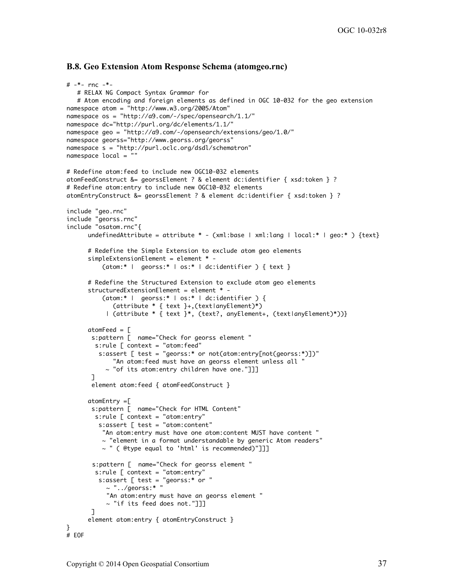#### **B.8. Geo Extension Atom Response Schema (atomgeo.rnc)**

```
# - * - rnc - * - # RELAX NG Compact Syntax Grammar for 
    # Atom encoding and foreign elements as defined in OGC 10-032 for the geo extension
namespace atom = "http://www.w3.org/2005/Atom"
namespace os = "http://a9.com/-/spec/opensearch/1.1/"
namespace dc="http://purl.org/dc/elements/1.1/" 
namespace geo = "http://a9.com/-/opensearch/extensions/geo/1.0/"
namespace georss="http://www.georss.org/georss" 
namespace s = "http://purl.oclc.org/dsdl/schematron"
namespace local = ""
# Redefine atom:feed to include new OGC10-032 elements 
atomFeedConstruct &= georssElement ? & element dc:identifier { xsd:token } ?
# Redefine atom:entry to include new OGC10-032 elements 
atomEntryConstruct &= georssElement ? & element dc:identifier { xsd:token } ?
include "geo.rnc"
include "georss.rnc" 
include "osatom.rnc"{
      undefinedAttribute = attribute * - (xml:base | xml:lang | local:* | geo:* ) {text}
       # Redefine the Simple Extension to exclude atom geo elements
      simpleExtensionElement = element * -
           (atom:* | georss:* | os:* | dc:identifier ) { text }
       # Redefine the Structured Extension to exclude atom geo elements
       structuredExtensionElement = element * -
           (atom:* | georss:* | os:* | dc:identifier ) {
              (attribute * { text }+,(text|anyElement)*)
            | (attribute * { text }*, (text?, anyElement+, (text|anyElement)*))} 
      atomiced = [ s:pattern [ name="Check for georss element "
         s:rule [ context = "atom:feed"
          s:assert [ test = "georss:* or not(atom:entry[not(georss:*)])"
              "An atom:feed must have an georss element unless all "
            ~ "of its atom:entry children have one."]]]
       \mathbb{I} element atom:feed { atomFeedConstruct } 
      atomEntry = s:pattern [ name="Check for HTML Content"
        s: rule \space{0.1cm} \rule{0.1cm}{0.1cm} context = "atom: entry"
          s:assert [ test = "atom:content"
           "An atom:entry must have one atom:content MUST have content "
           ~ "element in a format understandable by generic Atom readers"
           ~ " ( @type equal to 'html' is recommended)"]]]
        s:pattern [ name="Check for georss element "
         s:rule [ context = "atom:entry"
          s:assert [ test = "georss:* or "
           \sim "../georss:* "
            "An atom:entry must have an georss element "
            ~ "if its feed does not."]]]
        ]
       element atom:entry { atomEntryConstruct }
}
# EOF
```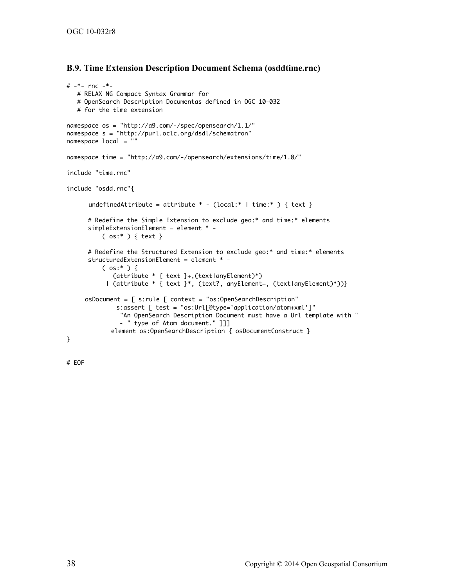#### **B.9. Time Extension Description Document Schema (osddtime.rnc)**

```
# -*- rnc -*-
    # RELAX NG Compact Syntax Grammar for
    # OpenSearch Description Documentas defined in OGC 10-032 
   # for the time extension
namespace os = "http://a9.com/-/spec/opensearch/1.1/"
namespace s = "http://purl.oclc.org/dsdl/schematron"
namespace local = ""
namespace time = "http://a9.com/-/opensearch/extensions/time/1.0/" 
include "time.rnc"
include "osdd.rnc"{
      undefinedAttribute = attribute * - (local:* \mid time:* ) { text }
       # Redefine the Simple Extension to exclude geo:* and time:* elements
       simpleExtensionElement = element * -
           ( os:* ) { text }
       # Redefine the Structured Extension to exclude geo:* and time:* elements
       structuredExtensionElement = element * -
          ( os:* ) {
              (attribute * { text }+,(text|anyElement)*)
            | (attribute * { text }*, (text?, anyElement+, (text|anyElement)*))} 
     osDocument = [ s:rule [ context = "os:OpenSearchDescription"
               s:assert [ test = "os:Url[@type='application/atom+xml']"
                "An OpenSearch Description Document must have a Url template with "
               \sim " type of Atom document." ]]]
            element os: OpenSearchDescription { osDocumentConstruct }
```
}

# EOF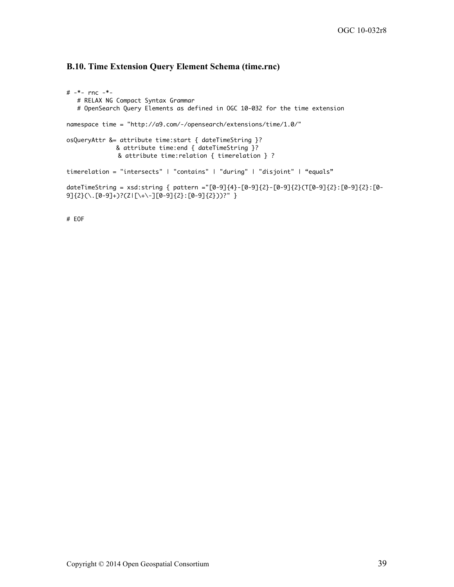#### **B.10. Time Extension Query Element Schema (time.rnc)**

```
# -*- rnc -*-
    # RELAX NG Compact Syntax Grammar 
    # OpenSearch Query Elements as defined in OGC 10-032 for the time extension
namespace time = "http://a9.com/-/opensearch/extensions/time/1.0/" 
osQueryAttr &= attribute time:start { dateTimeString }? 
               & attribute time:end { dateTimeString }?
               & attribute time:relation { timerelation } ? 
timerelation = "intersects" | "contains" | "during" | "disjoint" | "equals"
dateTimeString = xsd:string { pattern ="[0-9]{4}-[0-9]{2}-[0-9]{2}(T[0-9]{2}:[0-9]{2}:[0-
9]{2}(\.[0-9]+)?(Z|[\+\-][0-9]{2}:[0-9]{2}))?" }
```
# EOF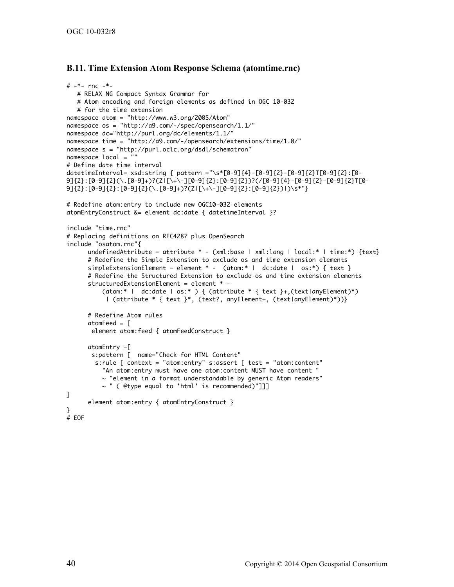#### **B.11. Time Extension Atom Response Schema (atomtime.rnc)**

```
# -*- rnc -*-
    # RELAX NG Compact Syntax Grammar for 
    # Atom encoding and foreign elements as defined in OGC 10-032 
    # for the time extension 
namespace atom = "http://www.w3.org/2005/Atom"
namespace os = "http://a9.com/-/spec/opensearch/1.1/"
namespace dc="http://purl.org/dc/elements/1.1/" 
namespace time = "http://a9.com/-/opensearch/extensions/time/1.0/" 
namespace s = "http://purl.oclc.org/dsdl/schematron"
namespace local = "" 
# Define date time interval
datetimeInterval= xsd:string { pattern ="\s*[0-9]{4}-[0-9]{2}-[0-9]{2}T[0-9]{2}:[0-
9]{2}:[0-9]{2}(\.[0-9]+)?(Z|[\+\-][0-9]{2}:[0-9]{2})?(/[0-9]{4}-[0-9]{2}-[0-9]{2}T[0-
9]{2}:[0-9]{2}:[0-9]{2}(\.[0-9]+)?(Z|[\+\-][0-9]{2}:[0-9]{2})|)\s*"}
# Redefine atom:entry to include new OGC10-032 elements 
atomEntryConstruct &= element dc:date { datetimeInterval }? 
include "time.rnc"
# Replacing definitions on RFC4287 plus OpenSearch
include "osatom.rnc"{
      undefinedAttribute = attribute * - (xml:base | xml:lang | local:* | time:*) {text}
       # Redefine the Simple Extension to exclude os and time extension elements
      simpleExtensionElement = element * - (atom:* | dc:date | os:*) { text }
       # Redefine the Structured Extension to exclude os and time extension elements
       structuredExtensionElement = element * -
          (atom:* | dc:date | os:* ) { (attribute * { text }+,(text|anyElement)*)
            | (attribute * { text }*, (text?, anyElement+, (text|anyElement)*))} 
       # Redefine Atom rules 
      atomFeed = <math>\Gamma</math> element atom:feed { atomFeedConstruct } 
       atomEntry =[
       s:pattern [ name="Check for HTML Content" 
         s:rule [ context = "atom:entry" s:assert [ test = "atom:content"
           "An atom:entry must have one atom:content MUST have content "
          \sim "element in a format understandable by generic Atom readers"
           ~ " ( @type equal to 'html' is recommended)"]]]
\mathbf{I} element atom:entry { atomEntryConstruct } 
}
# EOF
```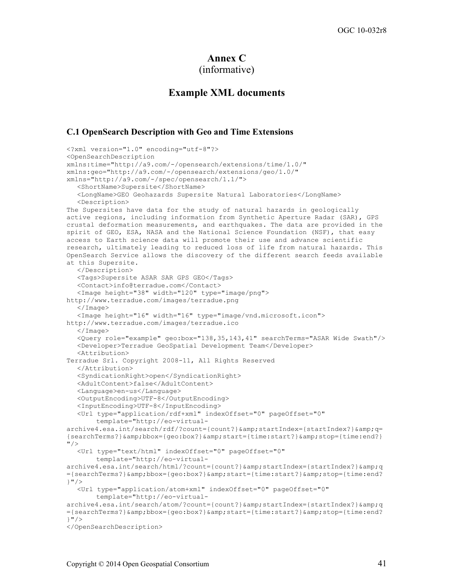# **Annex C**

```
(informative)
```
## **Example XML documents**

#### **C.1 OpenSearch Description with Geo and Time Extensions**

```
<?xml version="1.0" encoding="utf-8"?>
<OpenSearchDescription 
xmlns:time="http://a9.com/-/opensearch/extensions/time/1.0/" 
xmlns:geo="http://a9.com/-/opensearch/extensions/geo/1.0/" 
xmlns="http://a9.com/-/spec/opensearch/1.1/">
   <ShortName>Supersite</ShortName>
  <LongName>GEO Geohazards Supersite Natural Laboratories</LongName>
  <Description>
The Supersites have data for the study of natural hazards in geologically 
active regions, including information from Synthetic Aperture Radar (SAR), GPS 
crustal deformation measurements, and earthquakes. The data are provided in the 
spirit of GEO, ESA, NASA and the National Science Foundation (NSF), that easy 
access to Earth science data will promote their use and advance scientific 
research, ultimately leading to reduced loss of life from natural hazards. This 
OpenSearch Service allows the discovery of the different search feeds available 
at this Supersite.
  </Description>
  <Tags>Supersite ASAR SAR GPS GEO</Tags>
   <Contact>info@terradue.com</Contact>
  <Image height="38" width="120" type="image/png">
http://www.terradue.com/images/terradue.png
   </Image>
  <Image height="16" width="16" type="image/vnd.microsoft.icon">
http://www.terradue.com/images/terradue.ico
  \langle Image>
  <Query role="example" geo:box="138,35,143,41" searchTerms="ASAR Wide Swath"/>
  <Developer>Terradue GeoSpatial Development Team</Developer>
  <Attribution>
Terradue Srl. Copyright 2008-11, All Rights Reserved
  </Attribution>
  <SyndicationRight>open</SyndicationRight>
  <AdultContent>false</AdultContent>
  <Language>en-us</Language>
   <OutputEncoding>UTF-8</OutputEncoding>
  <InputEncoding>UTF-8</InputEncoding>
  <Url type="application/rdf+xml" indexOffset="0" pageOffset="0"
       template="http://eo-virtual-
archive4.esa.int/search/rdf/?count={count?}&startIndex={startIndex?}&q=
{searchTerms?}&bbox={geo:box?}&start={time:start?}&stop={time:end?}
"/>
   <Url type="text/html" indexOffset="0" pageOffset="0" 
       template="http://eo-virtual-
archive4.esa.int/search/html/?count={count?}&startIndex={startIndex?}&q
={searchTerms?}&bbox={geo:box?}&start={time:start?}&stop={time:end?
}"/>
   <Url type="application/atom+xml" indexOffset="0" pageOffset="0" 
       template="http://eo-virtual-
archive4.esa.int/search/atom/?count={count?}&startIndex={startIndex?}&q
={searchTerms?}&bbox={geo:box?}&start={time:start?}&stop={time:end?
\}"/>
</OpenSearchDescription>
```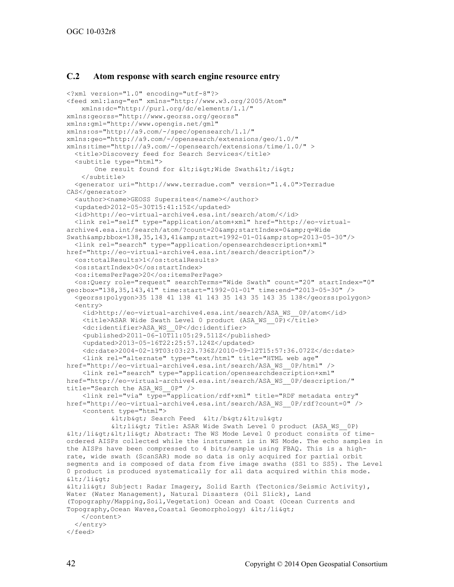#### **C.2 Atom response with search engine resource entry**

```
<?xml version="1.0" encoding="utf-8"?>
<feed xml:lang="en" xmlns="http://www.w3.org/2005/Atom"
    xmlns:dc="http://purl.org/dc/elements/1.1/"
xmlns:georss="http://www.georss.org/georss" 
xmlns:gml="http://www.opengis.net/gml" 
xmlns:os="http://a9.com/-/spec/opensearch/1.1/"
xmlns:geo="http://a9.com/-/opensearch/extensions/geo/1.0/"
xmlns:time="http://a9.com/-/opensearch/extensions/time/1.0/" >
   <title>Discovery feed for Search Services</title>
   <subtitle type="html">
       One result found for <i&gt; Wide Swath&lt;/i&gt;
    </subtitle>
   <generator uri="http://www.terradue.com" version="1.4.0">Terradue 
CAS</generator>
  <author><name>GEOSS Supersites</name></author>
   <updated>2012-05-30T15:41:15Z</updated>
   <id>http://eo-virtual-archive4.esa.int/search/atom/</id>
   <link rel="self" type="application/atom+xml" href="http://eo-virtual-
archive4.esa.int/search/atom/?count=20&startIndex=0&q=Wide
Swath&bbox=138,35,143,41&start=1992-01-01&stop=2013-05-30"/>
   <link rel="search" type="application/opensearchdescription+xml" 
href="http://eo-virtual-archive4.esa.int/search/description"/>
   <os:totalResults>1</os:totalResults>
   <os:startIndex>0</os:startIndex>
   <os:itemsPerPage>20</os:itemsPerPage>
   <os:Query role="request" searchTerms="Wide Swath" count="20" startIndex="0"
geo:box="138,35,143,41" time:start="1992-01-01" time:end="2013-05-30" />
   <georss:polygon>35 138 41 138 41 143 35 143 35 143 35 138</georss:polygon>
   <entry>
     <id>http://eo-virtual-archive4.esa.int/search/ASA_WS__0P/atom</id>
     <title>ASAR Wide Swath Level 0 product (ASA_WS__0P)</title>
     <dc:identifier>ASA_WS__0P</dc:identifier>
    \langle \text{publicshed}>2011-06-10\overline{11}:05:29.511\overline{2}\langle \text{publicshed}\rangle <updated>2013-05-16T22:25:57.124Z</updated>
     <dc:date>2004-02-19T03:03:23.736Z/2010-09-12T15:57:36.072Z</dc:date> 
     <link rel="alternate" type="text/html" title="HTML web age" 
href="http://eo-virtual-archive4.esa.int/search/ASA_WS__0P/html" />
     <link rel="search" type="application/opensearchdescription+xml" 
href="http://eo-virtual-archive4.esa.int/search/ASA_WS__0P/description/" 
title="Search the ASA_WS__0P" />
     <link rel="via" type="application/rdf+xml" title="RDF metadata entry" 
href="http://eo-virtual-archive4.esa.int/search/ASA_WS__0P/rdf?count=0" />
     <content type="html">
           < lb@gt; Search Feed < lb@gt;, < lb@gt;dt; li\sqrt{a}, Title: ASAR Wide Swath Level 0 product (ASA WS 0P)
dtt;/lisqrt{t}ilisqrt{t}; Abstract: The WS Mode Level 0 product consists of time-
ordered AISPs collected while the instrument is in WS Mode. The echo samples in 
the AISPs have been compressed to 4 bits/sample using FBAQ. This is a high-
rate, wide swath (ScanSAR) mode so data is only acquired for partial orbit 
segments and is composed of data from five image swaths (SS1 to SS5). The Level 
0 product is produced systematically for all data acquired within this mode. 
\<li\><li> Subject: Radar Imagery, Solid Earth (Tectonics/Seismic Activity), 
Water (Water Management), Natural Disasters (Oil Slick), Land 
(Topography/Mapping,Soil,Vegetation) Ocean and Coast (Ocean Currents and 
Topography, Ocean Waves, Coastal Geomorphology) </li&gt;
    </content>
   </entry>
</feed>
```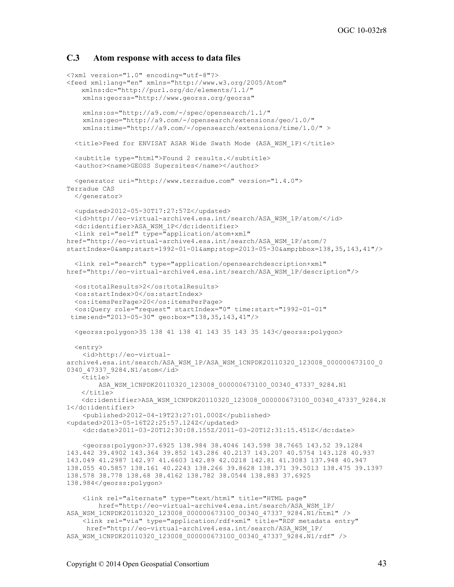#### **C.3 Atom response with access to data files**

```
<?xml version="1.0" encoding="utf-8"?>
<feed xml:lang="en" xmlns="http://www.w3.org/2005/Atom"
    xmlns:dc="http://purl.org/dc/elements/1.1/"
     xmlns:georss="http://www.georss.org/georss" 
     xmlns:os="http://a9.com/-/spec/opensearch/1.1/"
     xmlns:geo="http://a9.com/-/opensearch/extensions/geo/1.0/"
     xmlns:time="http://a9.com/-/opensearch/extensions/time/1.0/" >
   <title>Feed for ENVISAT ASAR Wide Swath Mode (ASA_WSM_1P)</title>
   <subtitle type="html">Found 2 results.</subtitle>
  <author><name>GEOSS Supersites</name></author>
   <generator uri="http://www.terradue.com" version="1.4.0">
Terradue CAS
   </generator>
   <updated>2012-05-30T17:27:57Z</updated>
   <id>http://eo-virtual-archive4.esa.int/search/ASA_WSM_1P/atom/</id>
   <dc:identifier>ASA_WSM_1P</dc:identifier>
   <link rel="self" type="application/atom+xml" 
href="http://eo-virtual-archive4.esa.int/search/ASA_WSM_1P/atom/? 
startIndex=0& start=1992-01-01& stop=2013-05-30& bbox=138,35,143,41"/>
   <link rel="search" type="application/opensearchdescription+xml" 
href="http://eo-virtual-archive4.esa.int/search/ASA_WSM_1P/description"/>
   <os:totalResults>2</os:totalResults>
   <os:startIndex>0</os:startIndex>
   <os:itemsPerPage>20</os:itemsPerPage>
   <os:Query role="request" startIndex="0" time:start="1992-01-01" 
 time:end="2013-05-30" geo:box="138,35,143,41"/>
   <georss:polygon>35 138 41 138 41 143 35 143 35 143</georss:polygon>
   <entry>
     <id>http://eo-virtual-
archive4.esa.int/search/ASA_WSM_1P/ASA_WSM_1CNPDK20110320_123008_000000673100_0
0340_47337_9284.N1/atom</id>
    <title>
        ASA_WSM_1CNPDK20110320_123008_000000673100_00340_47337_9284.N1
    \langletitle>
    <dc:identifier>ASA_WSM_1CNPDK20110320_123008_000000673100_00340_47337_9284.N
1</dc:identifier>
     <published>2012-04-19T23:27:01.000Z</published>
<updated>2013-05-16T22:25:57.124Z</updated>
     <dc:date>2011-03-20T12:30:08.155Z/2011-03-20T12:31:15.451Z</dc:date>
     <georss:polygon>37.6925 138.984 38.4046 143.598 38.7665 143.52 39.1284 
143.442 39.4902 143.364 39.852 143.286 40.2137 143.207 40.5754 143.128 40.937 
143.049 41.2987 142.97 41.6603 142.89 42.0218 142.81 41.3083 137.948 40.947 
138.055 40.5857 138.161 40.2243 138.266 39.8628 138.371 39.5013 138.475 39.1397 
138.578 38.778 138.68 38.4162 138.782 38.0544 138.883 37.6925 
138.984</georss:polygon>
     <link rel="alternate" type="text/html" title="HTML page" 
         href="http://eo-virtual-archive4.esa.int/search/ASA_WSM_1P/ 
ASA_WSM_1CNPDK20110320_123008_000000673100_00340_47337_9284.N1/html" />
     <link rel="via" type="application/rdf+xml" title="RDF metadata entry" 
      href="http://eo-virtual-archive4.esa.int/search/ASA_WSM_1P/ 
ASA_WSM_1CNPDK20110320_123008_000000673100_00340_47337_9284.N1/rdf" />
```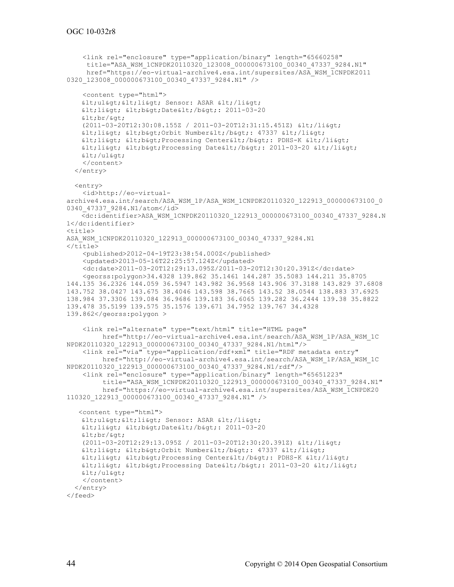```
 <link rel="enclosure" type="application/binary" length="65660258" 
      title="ASA_WSM_1CNPDK20110320_123008_000000673100_00340_47337_9284.N1" 
      href="https://eo-virtual-archive4.esa.int/supersites/ASA_WSM_1CNPDK2011 
0320 123008 000000673100 00340 47337 9284.N1" />
     <content type="html">
    <ul&gt;&lt;li&gt; Sensor: ASAR &lt;/li&gt;
    <li> <b>Date</b>: 2011-03-20 
    \<lt; brf \> c(2011-03-20T12:30:08.155Z / 2011-03-20T12:31:15.451Z) </li>
    <1i> < b&gt; Orbit Number&lt; / b&gt; : 47337 &lt; / li&gt;
    \deltalt; li\deltaqt; \deltalt; b\deltaqt; Processing Center\deltalt; b\deltaqt; PDHS-K \deltalt; / li\deltaqt;
    klt; likqt; klt; bkqt; Processing Dateklt; /bkqt; 2011-03-20 klt; /likqt;
    \text{alt}; \text{/ul@gt;} </content>
   </entry>
   <entry>
     <id>http://eo-virtual-
archive4.esa.int/search/ASA_WSM_1P/ASA_WSM_1CNPDK20110320_122913_000000673100_0
0340 47337 9284.N1/atom</id>
    <dc:identifier>ASA_WSM_1CNPDK20110320_122913_000000673100_00340_47337_9284.N
1</dc:identifier>
<title>
ASA_WSM_1CNPDK20110320_122913_000000673100_00340_47337_9284.N1
\langletitle>
     <published>2012-04-19T23:38:54.000Z</published>
     <updated>2013-05-16T22:25:57.124Z</updated>
     <dc:date>2011-03-20T12:29:13.095Z/2011-03-20T12:30:20.391Z</dc:date>
     <georss:polygon>34.4328 139.862 35.1461 144.287 35.5083 144.211 35.8705 
144.135 36.2326 144.059 36.5947 143.982 36.9568 143.906 37.3188 143.829 37.6808 
143.752 38.0427 143.675 38.4046 143.598 38.7665 143.52 38.0544 138.883 37.6925 
138.984 37.3306 139.084 36.9686 139.183 36.6065 139.282 36.2444 139.38 35.8822 
139.478 35.5199 139.575 35.1576 139.671 34.7952 139.767 34.4328 
139.862</georss:polygon >
     <link rel="alternate" type="text/html" title="HTML page" 
          href="http://eo-virtual-archive4.esa.int/search/ASA_WSM_1P/ASA_WSM_1C 
NPDK20110320_122913_00000673100_00340_47337_9284.N1/html"/>
     <link rel="via" type="application/rdf+xml" title="RDF metadata entry"
          href="http://eo-virtual-archive4.esa.int/search/ASA_WSM_1P/ASA_WSM_1C 
NPDK20110320_122913_000000673100_00340_47337_9284.N1/rdf"/>
     <link rel="enclosure" type="application/binary" length="65651223" 
          title="ASA_WSM_1CNPDK20110320_122913_000000673100_00340_47337_9284.N1"
          href="https://eo-virtual-archive4.esa.int/supersites/ASA_WSM_1CNPDK20 
110320_122913_000000673100_00340_47337_9284.N1" />
    <content type="html">
   < ul&gt; &lt; li&gt; Sensor: ASAR &lt; /li&gt;
    <li> <b>Date</b>: 2011-03-20 
    \<lt; brf/\>t(2011-03-20T12:29:13.095Z / 2011-03-20T12:30:20.391Z) </li>
    <1i<0 \<1, >0 <0 \>0 \>0 \>0 \>0 \>1 \>0 \>0 \>0 \>0 \>0 \>0 \>0 \>0 \>0 \>0 \>0 \>0 \>0 \>0 \>0 \>0 \>0 \>0 klt; li&qt; < b&qt; Processing Center&lt; / b&qt; PDHS-K &lt; / li&qt;
    <1ii> < b&gt; Processing Date&lt; / b&gt; : 2011-03-20 &lt; / li&gt;
    \texttt{alt}; \texttt{blkgt}; </content>
   </entry>
</feed>
```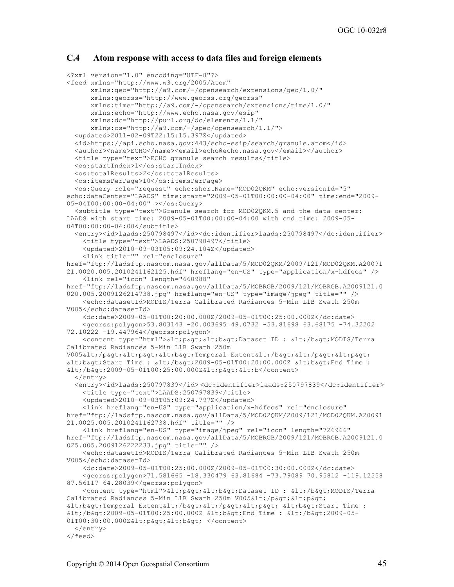#### **C.4 Atom response with access to data files and foreign elements**

```
<?xml version="1.0" encoding="UTF-8"?>
<feed xmlns="http://www.w3.org/2005/Atom" 
       xmlns:geo="http://a9.com/-/opensearch/extensions/geo/1.0/"
       xmlns:georss="http://www.georss.org/georss"
       xmlns:time="http://a9.com/-/opensearch/extensions/time/1.0/"
       xmlns:echo="http://www.echo.nasa.gov/esip"
       xmlns:dc="http://purl.org/dc/elements/1.1/"
       xmlns:os="http://a9.com/-/spec/opensearch/1.1/">
   <updated>2011-02-09T22:15:15.397Z</updated>
   <id>https://api.echo.nasa.gov:443/echo-esip/search/granule.atom</id>
   <author><name>ECHO</name><email>echo@echo.nasa.gov</email></author>
   <title type="text">ECHO granule search results</title>
   <os:startIndex>1</os:startIndex>
   <os:totalResults>2</os:totalResults>
  <os:itemsPerPage>10</os:itemsPerPage>
   <os:Query role="request" echo:shortName="MOD02QKM" echo:versionId="5" 
echo:dataCenter="LAADS" time:start="2009-05-01T00:00:00-04:00" time:end="2009-
05-04T00:00:00-04:00" ></os:Query>
   <subtitle type="text">Granule search for MOD02QKM.5 and the data center: 
LAADS with start time: 2009-05-01T00:00:00-04:00 with end time: 2009-05-
04T00:00:00-04:00</subtitle>
   <entry><id>laads:250798497</id><dc:identifier>laads:250798497</dc:identifier>
     <title type="text">LAADS:250798497</title>
     <updated>2010-09-03T05:09:24.104Z</updated>
     <link title="" rel="enclosure" 
href="ftp://ladsftp.nascom.nasa.gov/allData/5/MOD02QKM/2009/121/MOD02QKM.A20091
21.0020.005.2010241162125.hdf" hreflang="en-US" type="application/x-hdfeos" />
     <link rel="icon" length="660988" 
href="ftp://ladsftp.nascom.nasa.gov/allData/5/MOBRGB/2009/121/MOBRGB.A2009121.0
020.005.2009126214738.jpg" hreflang="en-US" type="image/jpeg" title="" />
     <echo:datasetId>MODIS/Terra Calibrated Radiances 5-Min L1B Swath 250m 
V005</echo:datasetId>
     <dc:date>2009-05-01T00:20:00.000Z/2009-05-01T00:25:00.000Z</dc:date>
     <georss:polygon>53.803143 -20.003695 49.0732 -53.81698 63.68175 -74.32202 
72.10222 -19.447964</georss:polygon>
    <content type="html">&lt;p&qt;&lt;b&qt;Dataset ID : &lt;/b&qt;MODIS/Terra
Calibrated Radiances 5-Min L1B Swath 250m 
V005</p&gt;&lt;p&gt;&lt;b&gt;Temporal Extent&lt;/b&gt;&lt;/p&gt;&lt;p&gt;
<b>Start Time : </b>2009-05-01T00:20:00.000Z <b>End Time : 
2009-05-01T00:25:00.000ZAL;p@dt;<bc/content </entry>
   <entry><id>laads:250797839</id> <dc:identifier>laads:250797839</dc:identifier>
     <title type="text">LAADS:250797839</title>
     <updated>2010-09-03T05:09:24.797Z</updated>
     <link hreflang="en-US" type="application/x-hdfeos" rel="enclosure" 
href="ftp://ladsftp.nascom.nasa.gov/allData/5/MOD02QKM/2009/121/MOD02QKM.A20091
21.0025.005.2010241162738.hdf" title="" />
     <link hreflang="en-US" type="image/jpeg" rel="icon" length="726966" 
href="ftp://ladsftp.nascom.nasa.gov/allData/5/MOBRGB/2009/121/MOBRGB.A2009121.0
025.005.2009126222233.jpg" title="" />
     <echo:datasetId>MODIS/Terra Calibrated Radiances 5-Min L1B Swath 250m 
V005</echo:datasetId>
     <dc:date>2009-05-01T00:25:00.000Z/2009-05-01T00:30:00.000Z</dc:date>
     <georss:polygon>71.581665 -18.330479 63.81684 -73.79089 70.95812 -119.12558 
87.56117 64.28039</georss:polygon>
    <content type="html">&lt;p&qt;&lt;b&qt;Dataset ID : &lt;/b&qt;MODIS/Terra
Calibrated Radiances 5-Min L1B Swath 250m V005</p&gt;&lt;p&gt;
ktt; b> Temporal Extent< /b&gt; &lt; /p&gt; &lt; b&gt; Start Time :
</b>2009-05-01T00:25:00.000Z <b>End Time : </b>2009-05-
01T00:30:00.000Z< p&gt; &lt; b&gt; </content>
   </entry>
</feed>
```